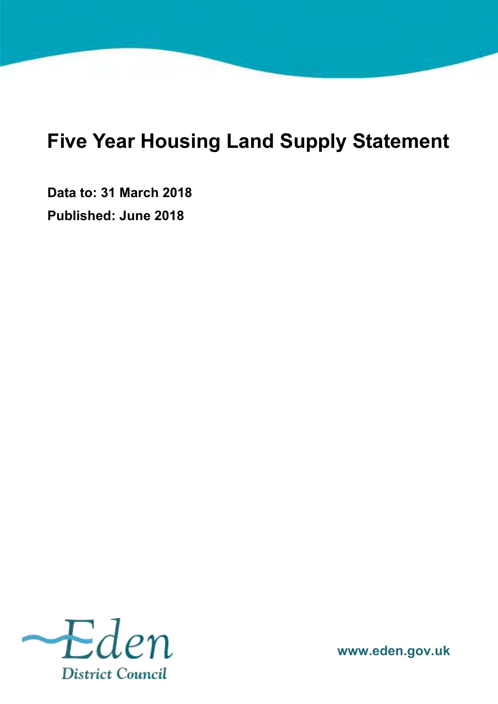# <span id="page-0-0"></span>**Five Year Housing Land Supply Statement**

**Data to: 31 March 2018 Published: June 2018**



**www.eden.gov.uk**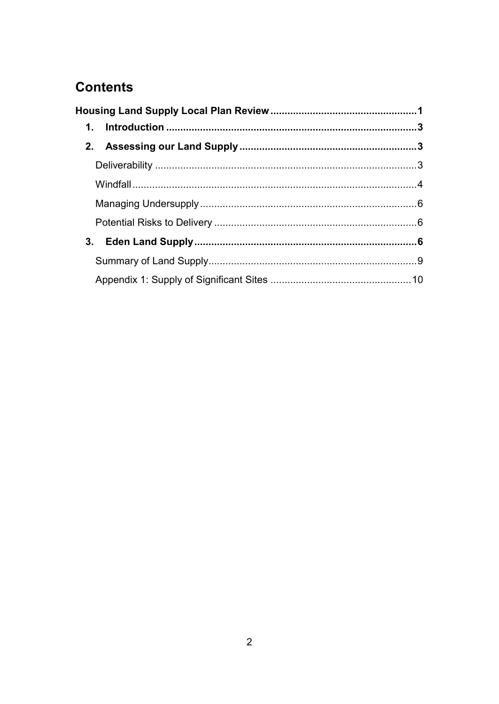# **Contents**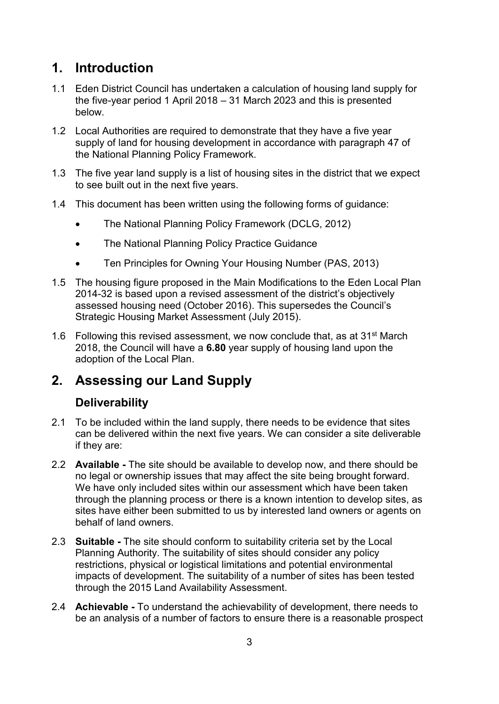## <span id="page-2-0"></span>**1. Introduction**

- 1.1 Eden District Council has undertaken a calculation of housing land supply for the five-year period 1 April 2018 – 31 March 2023 and this is presented below.
- 1.2 Local Authorities are required to demonstrate that they have a five year supply of land for housing development in accordance with paragraph 47 of the National Planning Policy Framework.
- 1.3 The five year land supply is a list of housing sites in the district that we expect to see built out in the next five years.
- 1.4 This document has been written using the following forms of guidance:
	- The National Planning Policy Framework (DCLG, 2012)
	- The National Planning Policy Practice Guidance
	- Ten Principles for Owning Your Housing Number (PAS, 2013)
- 1.5 The housing figure proposed in the Main Modifications to the Eden Local Plan 2014-32 is based upon a revised assessment of the district's objectively assessed housing need (October 2016). This supersedes the Council's Strategic Housing Market Assessment (July 2015).
- 1.6 Following this revised assessment, we now conclude that, as at  $31<sup>st</sup>$  March 2018, the Council will have a **6.80** year supply of housing land upon the adoption of the Local Plan.

### <span id="page-2-1"></span>**2. Assessing our Land Supply**

#### <span id="page-2-2"></span>**Deliverability**

- 2.1 To be included within the land supply, there needs to be evidence that sites can be delivered within the next five years. We can consider a site deliverable if they are:
- 2.2 **Available -** The site should be available to develop now, and there should be no legal or ownership issues that may affect the site being brought forward. We have only included sites within our assessment which have been taken through the planning process or there is a known intention to develop sites, as sites have either been submitted to us by interested land owners or agents on behalf of land owners.
- 2.3 **Suitable -** The site should conform to suitability criteria set by the Local Planning Authority. The suitability of sites should consider any policy restrictions, physical or logistical limitations and potential environmental impacts of development. The suitability of a number of sites has been tested through the 2015 Land Availability Assessment.
- 2.4 **Achievable -** To understand the achievability of development, there needs to be an analysis of a number of factors to ensure there is a reasonable prospect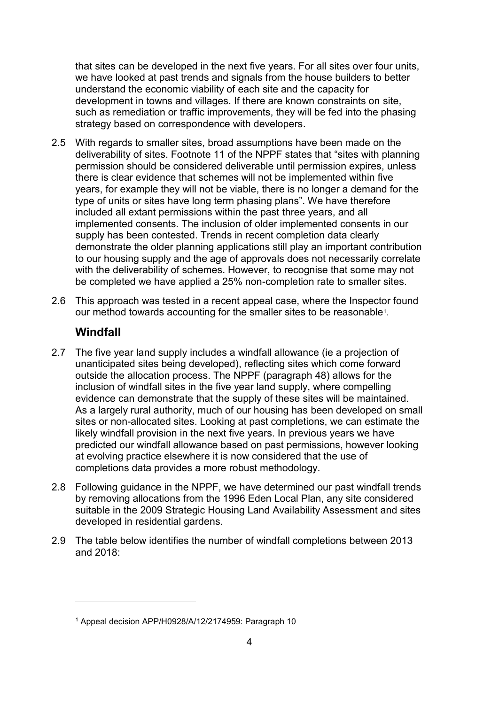that sites can be developed in the next five years. For all sites over four units, we have looked at past trends and signals from the house builders to better understand the economic viability of each site and the capacity for development in towns and villages. If there are known constraints on site, such as remediation or traffic improvements, they will be fed into the phasing strategy based on correspondence with developers.

- 2.5 With regards to smaller sites, broad assumptions have been made on the deliverability of sites. Footnote 11 of the NPPF states that "sites with planning permission should be considered deliverable until permission expires, unless there is clear evidence that schemes will not be implemented within five years, for example they will not be viable, there is no longer a demand for the type of units or sites have long term phasing plans". We have therefore included all extant permissions within the past three years, and all implemented consents. The inclusion of older implemented consents in our supply has been contested. Trends in recent completion data clearly demonstrate the older planning applications still play an important contribution to our housing supply and the age of approvals does not necessarily correlate with the deliverability of schemes. However, to recognise that some may not be completed we have applied a 25% non-completion rate to smaller sites.
- 2.6 This approach was tested in a recent appeal case, where the Inspector found our method towards accounting for the smaller sites to be reasonable<sup>1</sup> .

#### <span id="page-3-0"></span>**Windfall**

 $\overline{a}$ 

- 2.7 The five year land supply includes a windfall allowance (ie a projection of unanticipated sites being developed), reflecting sites which come forward outside the allocation process. The NPPF (paragraph 48) allows for the inclusion of windfall sites in the five year land supply, where compelling evidence can demonstrate that the supply of these sites will be maintained. As a largely rural authority, much of our housing has been developed on small sites or non-allocated sites. Looking at past completions, we can estimate the likely windfall provision in the next five years. In previous years we have predicted our windfall allowance based on past permissions, however looking at evolving practice elsewhere it is now considered that the use of completions data provides a more robust methodology.
- 2.8 Following guidance in the NPPF, we have determined our past windfall trends by removing allocations from the 1996 Eden Local Plan, any site considered suitable in the 2009 Strategic Housing Land Availability Assessment and sites developed in residential gardens.
- 2.9 The table below identifies the number of windfall completions between 2013 and 2018:

<sup>1</sup> Appeal decision APP/H0928/A/12/2174959: Paragraph 10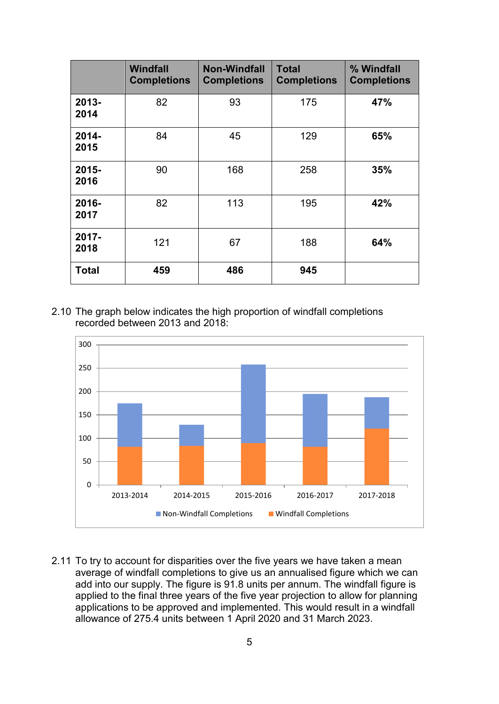|                  | Windfall<br><b>Completions</b> | <b>Non-Windfall</b><br><b>Completions</b> | <b>Total</b><br><b>Completions</b> | % Windfall<br><b>Completions</b> |
|------------------|--------------------------------|-------------------------------------------|------------------------------------|----------------------------------|
| $2013 -$<br>2014 | 82                             | 93                                        | 175                                | 47%                              |
| $2014 -$<br>2015 | 84                             | 45                                        | 129                                | 65%                              |
| $2015 -$<br>2016 | 90                             | 168                                       | 258                                | 35%                              |
| 2016-<br>2017    | 82                             | 113                                       | 195                                | 42%                              |
| 2017-<br>2018    | 121                            | 67                                        | 188                                | 64%                              |
| <b>Total</b>     | 459                            | 486                                       | 945                                |                                  |

2.10 The graph below indicates the high proportion of windfall completions recorded between 2013 and 2018:



2.11 To try to account for disparities over the five years we have taken a mean average of windfall completions to give us an annualised figure which we can add into our supply. The figure is 91.8 units per annum. The windfall figure is applied to the final three years of the five year projection to allow for planning applications to be approved and implemented. This would result in a windfall allowance of 275.4 units between 1 April 2020 and 31 March 2023.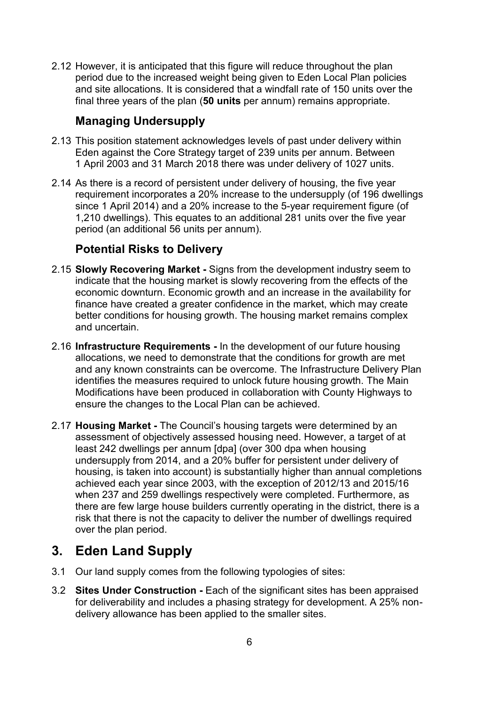2.12 However, it is anticipated that this figure will reduce throughout the plan period due to the increased weight being given to Eden Local Plan policies and site allocations. It is considered that a windfall rate of 150 units over the final three years of the plan (**50 units** per annum) remains appropriate.

#### <span id="page-5-0"></span>**Managing Undersupply**

- 2.13 This position statement acknowledges levels of past under delivery within Eden against the Core Strategy target of 239 units per annum. Between 1 April 2003 and 31 March 2018 there was under delivery of 1027 units.
- 2.14 As there is a record of persistent under delivery of housing, the five year requirement incorporates a 20% increase to the undersupply (of 196 dwellings since 1 April 2014) and a 20% increase to the 5-year requirement figure (of 1,210 dwellings). This equates to an additional 281 units over the five year period (an additional 56 units per annum).

#### <span id="page-5-1"></span>**Potential Risks to Delivery**

- 2.15 **Slowly Recovering Market -** Signs from the development industry seem to indicate that the housing market is slowly recovering from the effects of the economic downturn. Economic growth and an increase in the availability for finance have created a greater confidence in the market, which may create better conditions for housing growth. The housing market remains complex and uncertain.
- 2.16 **Infrastructure Requirements -** In the development of our future housing allocations, we need to demonstrate that the conditions for growth are met and any known constraints can be overcome. The Infrastructure Delivery Plan identifies the measures required to unlock future housing growth. The Main Modifications have been produced in collaboration with County Highways to ensure the changes to the Local Plan can be achieved.
- 2.17 **Housing Market -** The Council's housing targets were determined by an assessment of objectively assessed housing need. However, a target of at least 242 dwellings per annum [dpa] (over 300 dpa when housing undersupply from 2014, and a 20% buffer for persistent under delivery of housing, is taken into account) is substantially higher than annual completions achieved each year since 2003, with the exception of 2012/13 and 2015/16 when 237 and 259 dwellings respectively were completed. Furthermore, as there are few large house builders currently operating in the district, there is a risk that there is not the capacity to deliver the number of dwellings required over the plan period.

## <span id="page-5-2"></span>**3. Eden Land Supply**

- 3.1 Our land supply comes from the following typologies of sites:
- 3.2 **Sites Under Construction -** Each of the significant sites has been appraised for deliverability and includes a phasing strategy for development. A 25% nondelivery allowance has been applied to the smaller sites.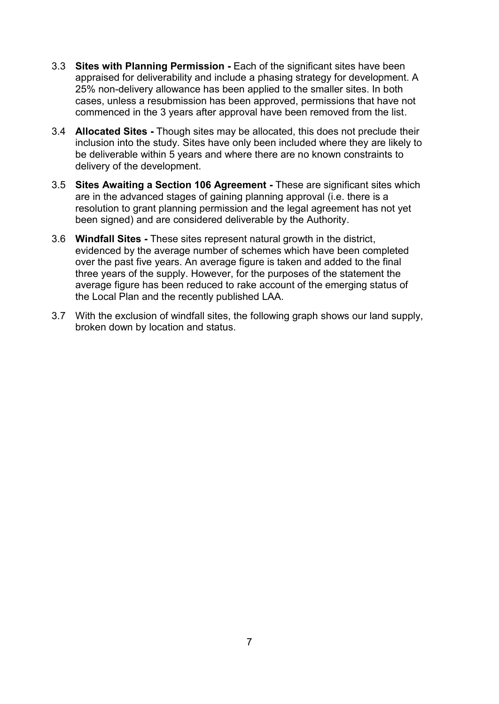- 3.3 **Sites with Planning Permission -** Each of the significant sites have been appraised for deliverability and include a phasing strategy for development. A 25% non-delivery allowance has been applied to the smaller sites. In both cases, unless a resubmission has been approved, permissions that have not commenced in the 3 years after approval have been removed from the list.
- 3.4 **Allocated Sites -** Though sites may be allocated, this does not preclude their inclusion into the study. Sites have only been included where they are likely to be deliverable within 5 years and where there are no known constraints to delivery of the development.
- 3.5 **Sites Awaiting a Section 106 Agreement -** These are significant sites which are in the advanced stages of gaining planning approval (i.e. there is a resolution to grant planning permission and the legal agreement has not yet been signed) and are considered deliverable by the Authority.
- 3.6 **Windfall Sites -** These sites represent natural growth in the district, evidenced by the average number of schemes which have been completed over the past five years. An average figure is taken and added to the final three years of the supply. However, for the purposes of the statement the average figure has been reduced to rake account of the emerging status of the Local Plan and the recently published LAA.
- 3.7 With the exclusion of windfall sites, the following graph shows our land supply, broken down by location and status.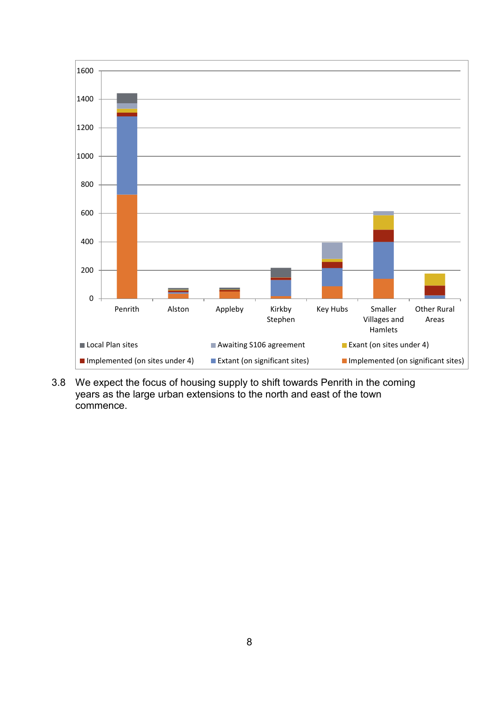

3.8 We expect the focus of housing supply to shift towards Penrith in the coming years as the large urban extensions to the north and east of the town commence.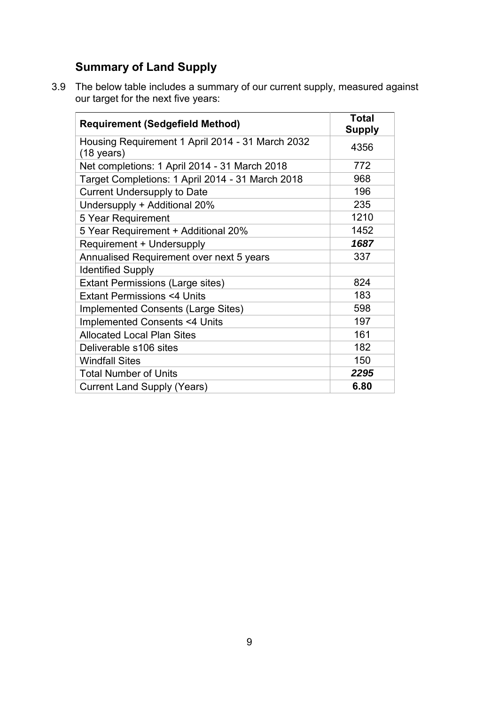## <span id="page-8-0"></span>**Summary of Land Supply**

3.9 The below table includes a summary of our current supply, measured against our target for the next five years:

| <b>Requirement (Sedgefield Method)</b>                                   | <b>Total</b><br>Supply |
|--------------------------------------------------------------------------|------------------------|
| Housing Requirement 1 April 2014 - 31 March 2032<br>$(18 \text{ years})$ | 4356                   |
| Net completions: 1 April 2014 - 31 March 2018                            | 772                    |
| Target Completions: 1 April 2014 - 31 March 2018                         | 968                    |
| <b>Current Undersupply to Date</b>                                       | 196                    |
| Undersupply + Additional 20%                                             | 235                    |
| 5 Year Requirement                                                       | 1210                   |
| 5 Year Requirement + Additional 20%                                      | 1452                   |
| Requirement + Undersupply                                                | 1687                   |
| Annualised Requirement over next 5 years                                 | 337                    |
| <b>Identified Supply</b>                                                 |                        |
| <b>Extant Permissions (Large sites)</b>                                  | 824                    |
| <b>Extant Permissions &lt;4 Units</b>                                    | 183                    |
| <b>Implemented Consents (Large Sites)</b>                                | 598                    |
| <b>Implemented Consents &lt;4 Units</b>                                  | 197                    |
| <b>Allocated Local Plan Sites</b>                                        | 161                    |
| Deliverable s106 sites                                                   | 182                    |
| <b>Windfall Sites</b>                                                    | 150                    |
| <b>Total Number of Units</b>                                             | 2295                   |
| <b>Current Land Supply (Years)</b>                                       | 6.80                   |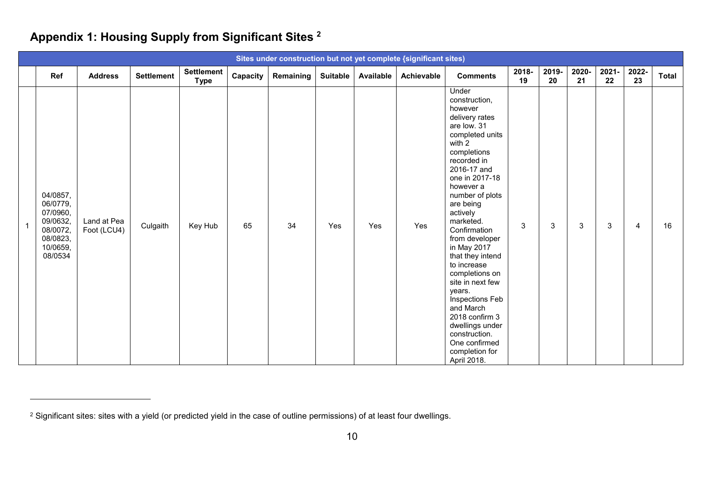## **Appendix 1: Housing Supply from Significant Sites <sup>2</sup>**

|                                                                                             |                            |                   |                                  |          |           |          |           | Sites under construction but not yet complete {significant sites) |                                                                                                                                                                                                                                                                                                                                                                                                                                                                                                                  |             |             |             |             |                |              |
|---------------------------------------------------------------------------------------------|----------------------------|-------------------|----------------------------------|----------|-----------|----------|-----------|-------------------------------------------------------------------|------------------------------------------------------------------------------------------------------------------------------------------------------------------------------------------------------------------------------------------------------------------------------------------------------------------------------------------------------------------------------------------------------------------------------------------------------------------------------------------------------------------|-------------|-------------|-------------|-------------|----------------|--------------|
| Ref                                                                                         | <b>Address</b>             | <b>Settlement</b> | <b>Settlement</b><br><b>Type</b> | Capacity | Remaining | Suitable | Available | Achievable                                                        | <b>Comments</b>                                                                                                                                                                                                                                                                                                                                                                                                                                                                                                  | 2018-<br>19 | 2019-<br>20 | 2020-<br>21 | 2021-<br>22 | 2022-<br>23    | <b>Total</b> |
| 04/0857,<br>06/0779,<br>07/0960,<br>09/0632,<br>08/0072,<br>08/0823,<br>10/0659,<br>08/0534 | Land at Pea<br>Foot (LCU4) | Culgaith          | Key Hub                          | 65       | 34        | Yes      | Yes       | Yes                                                               | Under<br>construction,<br>however<br>delivery rates<br>are low. 31<br>completed units<br>with 2<br>completions<br>recorded in<br>2016-17 and<br>one in 2017-18<br>however a<br>number of plots<br>are being<br>actively<br>marketed.<br>Confirmation<br>from developer<br>in May 2017<br>that they intend<br>to increase<br>completions on<br>site in next few<br>years.<br>Inspections Feb<br>and March<br>2018 confirm 3<br>dwellings under<br>construction.<br>One confirmed<br>completion for<br>April 2018. | 3           | 3           | 3           | 3           | $\overline{4}$ | 16           |

<span id="page-9-0"></span> $\overline{a}$ 

 $^2$  Significant sites: sites with a yield (or predicted yield in the case of outline permissions) of at least four dwellings.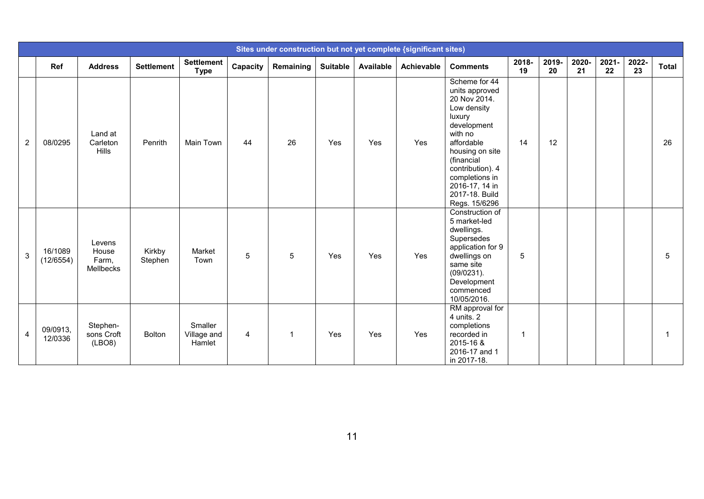|   |                      |                                       |                   |                                  |          | Sites under construction but not yet complete {significant sites} |                 |                  |            |                                                                                                                                                                                                                                              |                |             |             |                |             |              |
|---|----------------------|---------------------------------------|-------------------|----------------------------------|----------|-------------------------------------------------------------------|-----------------|------------------|------------|----------------------------------------------------------------------------------------------------------------------------------------------------------------------------------------------------------------------------------------------|----------------|-------------|-------------|----------------|-------------|--------------|
|   | Ref                  | <b>Address</b>                        | <b>Settlement</b> | <b>Settlement</b><br><b>Type</b> | Capacity | Remaining                                                         | <b>Suitable</b> | <b>Available</b> | Achievable | <b>Comments</b>                                                                                                                                                                                                                              | 2018-<br>19    | 2019-<br>20 | 2020-<br>21 | $2021 -$<br>22 | 2022-<br>23 | <b>Total</b> |
| 2 | 08/0295              | Land at<br>Carleton<br>Hills          | Penrith           | Main Town                        | 44       | 26                                                                | Yes             | Yes              | Yes        | Scheme for 44<br>units approved<br>20 Nov 2014.<br>Low density<br>luxury<br>development<br>with no<br>affordable<br>housing on site<br>(financial<br>contribution). 4<br>completions in<br>2016-17, 14 in<br>2017-18. Build<br>Regs. 15/6296 | 14             | 12          |             |                |             | 26           |
| 3 | 16/1089<br>(12/6554) | Levens<br>House<br>Farm,<br>Mellbecks | Kirkby<br>Stephen | Market<br>Town                   | 5        | 5                                                                 | Yes             | Yes              | Yes        | Construction of<br>5 market-led<br>dwellings.<br>Supersedes<br>application for 9<br>dwellings on<br>same site<br>(09/0231).<br>Development<br>commenced<br>10/05/2016.                                                                       | 5              |             |             |                |             | 5            |
| 4 | 09/0913,<br>12/0336  | Stephen-<br>sons Croft<br>(LBO8)      | <b>Bolton</b>     | Smaller<br>Village and<br>Hamlet | 4        | $\mathbf{1}$                                                      | Yes             | Yes              | Yes        | RM approval for<br>4 units. 2<br>completions<br>recorded in<br>2015-16 &<br>2016-17 and 1<br>in 2017-18.                                                                                                                                     | $\overline{1}$ |             |             |                |             |              |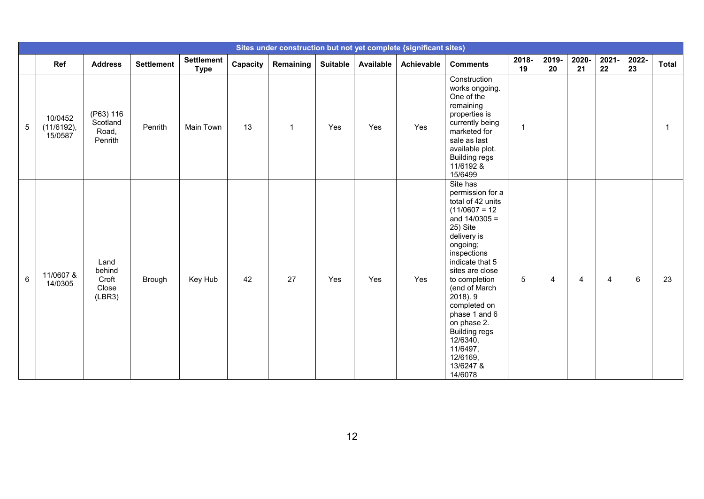|         |                                     |                                            |                   |                                  |          |                         |                 |                  | Sites under construction but not yet complete {significant sites) |                                                                                                                                                                                                                                                                                                                                                                        |             |             |             |             |             |              |
|---------|-------------------------------------|--------------------------------------------|-------------------|----------------------------------|----------|-------------------------|-----------------|------------------|-------------------------------------------------------------------|------------------------------------------------------------------------------------------------------------------------------------------------------------------------------------------------------------------------------------------------------------------------------------------------------------------------------------------------------------------------|-------------|-------------|-------------|-------------|-------------|--------------|
|         | Ref                                 | <b>Address</b>                             | <b>Settlement</b> | <b>Settlement</b><br><b>Type</b> | Capacity | Remaining               | <b>Suitable</b> | <b>Available</b> | Achievable                                                        | <b>Comments</b>                                                                                                                                                                                                                                                                                                                                                        | 2018-<br>19 | 2019-<br>20 | 2020-<br>21 | 2021-<br>22 | 2022-<br>23 | <b>Total</b> |
| 5       | 10/0452<br>$(11/6192)$ ,<br>15/0587 | (P63) 116<br>Scotland<br>Road,<br>Penrith  | Penrith           | Main Town                        | 13       | $\overline{\mathbf{1}}$ | Yes             | Yes              | Yes                                                               | Construction<br>works ongoing.<br>One of the<br>remaining<br>properties is<br>currently being<br>marketed for<br>sale as last<br>available plot.<br><b>Building regs</b><br>11/6192 &<br>15/6499                                                                                                                                                                       | 1           |             |             |             |             |              |
| $\,6\,$ | 11/0607 &<br>14/0305                | Land<br>behind<br>Croft<br>Close<br>(LBR3) | Brough            | Key Hub                          | 42       | 27                      | Yes             | Yes              | Yes                                                               | Site has<br>permission for a<br>total of 42 units<br>$(11/0607 = 12)$<br>and $14/0305 =$<br>25) Site<br>delivery is<br>ongoing;<br>inspections<br>indicate that 5<br>sites are close<br>to completion<br>(end of March<br>2018). 9<br>completed on<br>phase 1 and 6<br>on phase 2.<br><b>Building regs</b><br>12/6340,<br>11/6497,<br>12/6169,<br>13/6247 &<br>14/6078 | 5           | 4           | 4           | 4           | 6           | 23           |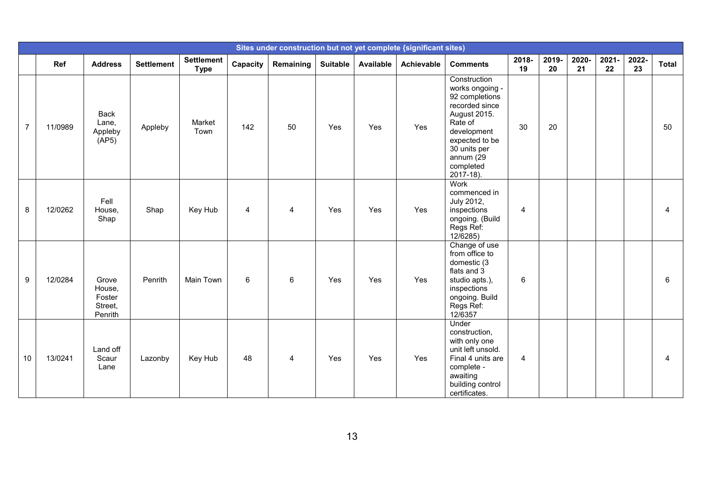|                  |         |                                                 |                   |                                  |                |                |                 |           | Sites under construction but not yet complete {significant sites} |                                                                                                                                                                                        |                |             |             |             |             |              |
|------------------|---------|-------------------------------------------------|-------------------|----------------------------------|----------------|----------------|-----------------|-----------|-------------------------------------------------------------------|----------------------------------------------------------------------------------------------------------------------------------------------------------------------------------------|----------------|-------------|-------------|-------------|-------------|--------------|
|                  | Ref     | <b>Address</b>                                  | <b>Settlement</b> | <b>Settlement</b><br><b>Type</b> | Capacity       | Remaining      | <b>Suitable</b> | Available | Achievable                                                        | <b>Comments</b>                                                                                                                                                                        | 2018-<br>19    | 2019-<br>20 | 2020-<br>21 | 2021-<br>22 | 2022-<br>23 | <b>Total</b> |
| $\overline{7}$   | 11/0989 | <b>Back</b><br>Lane,<br>Appleby<br>(AP5)        | Appleby           | Market<br>Town                   | 142            | 50             | Yes             | Yes       | Yes                                                               | Construction<br>works ongoing -<br>92 completions<br>recorded since<br>August 2015.<br>Rate of<br>development<br>expected to be<br>30 units per<br>annum (29<br>completed<br>2017-18). | 30             | 20          |             |             |             | 50           |
| 8                | 12/0262 | Fell<br>House,<br>Shap                          | Shap              | Key Hub                          | $\overline{4}$ | $\overline{4}$ | Yes             | Yes       | Yes                                                               | Work<br>commenced in<br>July 2012,<br>inspections<br>ongoing. (Build<br>Regs Ref:<br>12/6285)                                                                                          | $\overline{4}$ |             |             |             |             | 4            |
| $\boldsymbol{9}$ | 12/0284 | Grove<br>House,<br>Foster<br>Street,<br>Penrith | Penrith           | <b>Main Town</b>                 | 6              | 6              | Yes             | Yes       | Yes                                                               | Change of use<br>from office to<br>domestic (3<br>flats and 3<br>studio apts.),<br>inspections<br>ongoing. Build<br>Regs Ref:<br>12/6357                                               | 6              |             |             |             |             | 6            |
| 10               | 13/0241 | Land off<br>Scaur<br>Lane                       | Lazonby           | Key Hub                          | 48             | $\overline{4}$ | Yes             | Yes       | Yes                                                               | Under<br>construction,<br>with only one<br>unit left unsold.<br>Final 4 units are<br>complete -<br>awaiting<br>building control<br>certificates.                                       | $\overline{4}$ |             |             |             |             | 4            |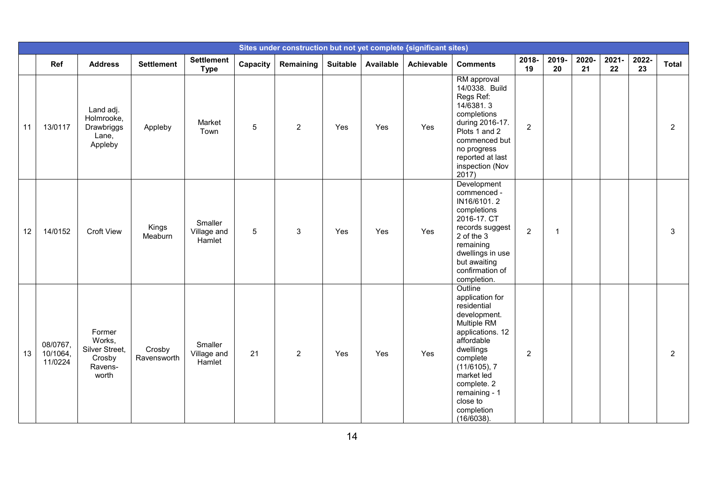|    |                                 |                                                                  |                       |                                  |                 |                |                 |                  | Sites under construction but not yet complete {significant sites) |                                                                                                                                                                                                                                           |                |              |             |                |             |                |
|----|---------------------------------|------------------------------------------------------------------|-----------------------|----------------------------------|-----------------|----------------|-----------------|------------------|-------------------------------------------------------------------|-------------------------------------------------------------------------------------------------------------------------------------------------------------------------------------------------------------------------------------------|----------------|--------------|-------------|----------------|-------------|----------------|
|    | Ref                             | <b>Address</b>                                                   | <b>Settlement</b>     | <b>Settlement</b><br><b>Type</b> | Capacity        | Remaining      | <b>Suitable</b> | <b>Available</b> | Achievable                                                        | <b>Comments</b>                                                                                                                                                                                                                           | 2018-<br>19    | 2019-<br>20  | 2020-<br>21 | $2021 -$<br>22 | 2022-<br>23 | <b>Total</b>   |
| 11 | 13/0117                         | Land adj.<br>Holmrooke,<br>Drawbriggs<br>Lane,<br>Appleby        | Appleby               | Market<br>Town                   | $5\phantom{.0}$ | $\overline{2}$ | Yes             | Yes              | Yes                                                               | RM approval<br>14/0338. Build<br>Regs Ref:<br>14/6381.3<br>completions<br>during 2016-17.<br>Plots 1 and 2<br>commenced but<br>no progress<br>reported at last<br>inspection (Nov<br>2017                                                 | 2 <sup>1</sup> |              |             |                |             | $\overline{2}$ |
| 12 | 14/0152                         | <b>Croft View</b>                                                | Kings<br>Meaburn      | Smaller<br>Village and<br>Hamlet | 5               | 3              | Yes             | Yes              | Yes                                                               | Development<br>commenced -<br>IN16/6101.2<br>completions<br>2016-17. CT<br>records suggest<br>2 of the 3<br>remaining<br>dwellings in use<br>but awaiting<br>confirmation of<br>completion.                                               | $\overline{2}$ | $\mathbf{1}$ |             |                |             | 3              |
| 13 | 08/0767,<br>10/1064,<br>11/0224 | Former<br>Works,<br>Silver Street,<br>Crosby<br>Ravens-<br>worth | Crosby<br>Ravensworth | Smaller<br>Village and<br>Hamlet | 21              | $\overline{2}$ | Yes             | Yes              | Yes                                                               | Outline<br>application for<br>residential<br>development.<br>Multiple RM<br>applications. 12<br>affordable<br>dwellings<br>complete<br>(11/6105), 7<br>market led<br>complete. 2<br>remaining - 1<br>close to<br>completion<br>(16/6038). | $\overline{2}$ |              |             |                |             | $\overline{2}$ |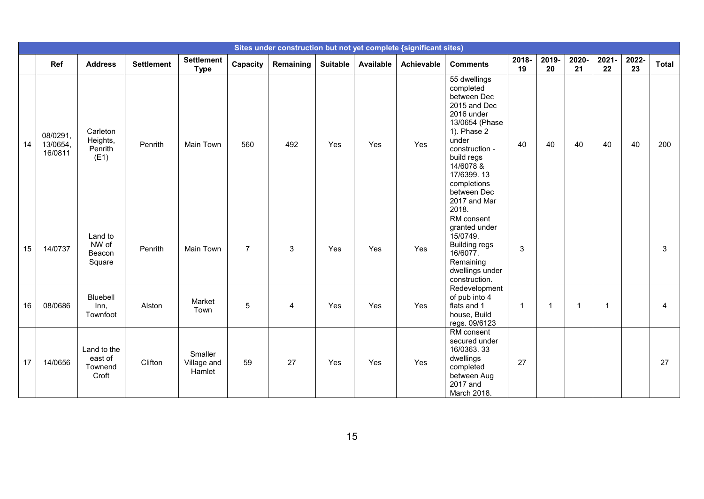|    |                                 |                                            |                   |                                  |                |           |                 |                  | Sites under construction but not yet complete {significant sites) |                                                                                                                                                                                                                                    |             |                |              |                |             |              |
|----|---------------------------------|--------------------------------------------|-------------------|----------------------------------|----------------|-----------|-----------------|------------------|-------------------------------------------------------------------|------------------------------------------------------------------------------------------------------------------------------------------------------------------------------------------------------------------------------------|-------------|----------------|--------------|----------------|-------------|--------------|
|    | Ref                             | <b>Address</b>                             | <b>Settlement</b> | <b>Settlement</b><br><b>Type</b> | Capacity       | Remaining | <b>Suitable</b> | <b>Available</b> | Achievable                                                        | <b>Comments</b>                                                                                                                                                                                                                    | 2018-<br>19 | 2019-<br>20    | 2020-<br>21  | 2021-<br>22    | 2022-<br>23 | <b>Total</b> |
| 14 | 08/0291,<br>13/0654,<br>16/0811 | Carleton<br>Heights,<br>Penrith<br>(E1)    | Penrith           | Main Town                        | 560            | 492       | Yes             | Yes              | Yes                                                               | 55 dwellings<br>completed<br>between Dec<br>2015 and Dec<br>2016 under<br>13/0654 (Phase<br>1). Phase 2<br>under<br>construction -<br>build regs<br>14/6078 &<br>17/6399.13<br>completions<br>between Dec<br>2017 and Mar<br>2018. | 40          | 40             | 40           | 40             | 40          | 200          |
| 15 | 14/0737                         | Land to<br>NW of<br>Beacon<br>Square       | Penrith           | Main Town                        | $\overline{7}$ | 3         | Yes             | Yes              | Yes                                                               | RM consent<br>granted under<br>15/0749.<br><b>Building regs</b><br>16/6077.<br>Remaining<br>dwellings under<br>construction.                                                                                                       | 3           |                |              |                |             | 3            |
| 16 | 08/0686                         | Bluebell<br>Inn,<br>Townfoot               | Alston            | Market<br>Town                   | 5              | 4         | Yes             | Yes              | Yes                                                               | Redevelopment<br>of pub into 4<br>flats and 1<br>house, Build<br>regs. 09/6123                                                                                                                                                     | -1          | $\overline{1}$ | $\mathbf{1}$ | $\overline{1}$ |             | 4            |
| 17 | 14/0656                         | Land to the<br>east of<br>Townend<br>Croft | Clifton           | Smaller<br>Village and<br>Hamlet | 59             | 27        | Yes             | Yes              | Yes                                                               | RM consent<br>secured under<br>16/0363.33<br>dwellings<br>completed<br>between Aug<br>2017 and<br>March 2018.                                                                                                                      | 27          |                |              |                |             | 27           |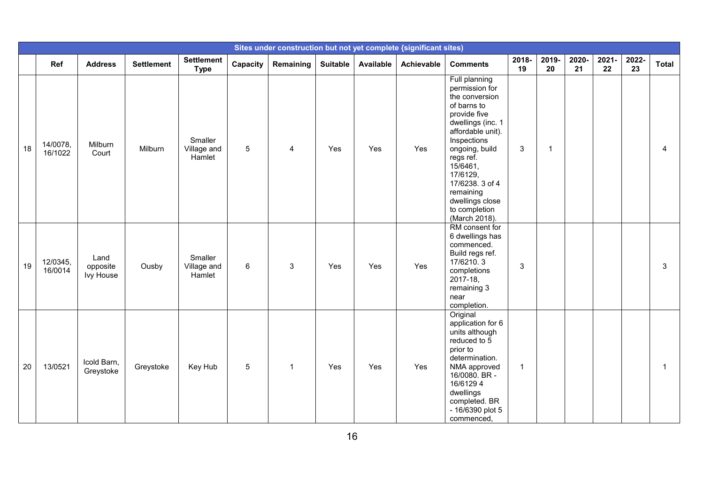|    |                     |                               |                   |                                  |                 |              |                 |           | Sites under construction but not yet complete {significant sites) |                                                                                                                                                                                                                                                                                       |              |              |             |             |             |              |
|----|---------------------|-------------------------------|-------------------|----------------------------------|-----------------|--------------|-----------------|-----------|-------------------------------------------------------------------|---------------------------------------------------------------------------------------------------------------------------------------------------------------------------------------------------------------------------------------------------------------------------------------|--------------|--------------|-------------|-------------|-------------|--------------|
|    | Ref                 | <b>Address</b>                | <b>Settlement</b> | <b>Settlement</b><br><b>Type</b> | Capacity        | Remaining    | <b>Suitable</b> | Available | Achievable                                                        | <b>Comments</b>                                                                                                                                                                                                                                                                       | 2018-<br>19  | 2019-<br>20  | 2020-<br>21 | 2021-<br>22 | 2022-<br>23 | <b>Total</b> |
| 18 | 14/0078,<br>16/1022 | Milburn<br>Court              | Milburn           | Smaller<br>Village and<br>Hamlet | 5               | 4            | Yes             | Yes       | Yes                                                               | Full planning<br>permission for<br>the conversion<br>of barns to<br>provide five<br>dwellings (inc. 1<br>affordable unit).<br>Inspections<br>ongoing, build<br>regs ref.<br>15/6461,<br>17/6129,<br>17/6238. 3 of 4<br>remaining<br>dwellings close<br>to completion<br>(March 2018). | 3            | $\mathbf{1}$ |             |             |             | 4            |
| 19 | 12/0345.<br>16/0014 | Land<br>opposite<br>Ivy House | Ousby             | Smaller<br>Village and<br>Hamlet | 6               | 3            | Yes             | Yes       | Yes                                                               | RM consent for<br>6 dwellings has<br>commenced.<br>Build regs ref.<br>17/6210.3<br>completions<br>2017-18,<br>remaining 3<br>near<br>completion.                                                                                                                                      | 3            |              |             |             |             | 3            |
| 20 | 13/0521             | Icold Barn,<br>Greystoke      | Greystoke         | Key Hub                          | $5\phantom{.0}$ | $\mathbf{1}$ | Yes             | Yes       | Yes                                                               | Original<br>application for 6<br>units although<br>reduced to 5<br>prior to<br>determination.<br>NMA approved<br>16/0080. BR -<br>16/61294<br>dwellings<br>completed. BR<br>- 16/6390 plot 5<br>commenced,                                                                            | $\mathbf{1}$ |              |             |             |             | 1            |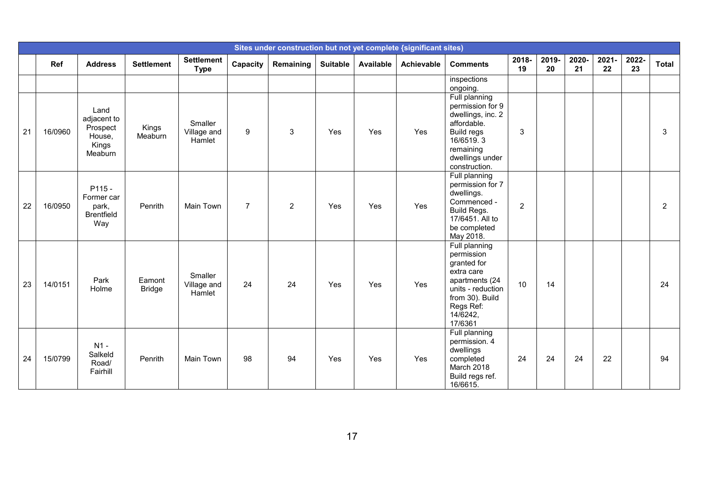|    |            |                                                               |                         |                                  |                |                |                 |                  | Sites under construction but not yet complete {significant sites} |                                                                                                                                                          |                |             |             |             |             |              |
|----|------------|---------------------------------------------------------------|-------------------------|----------------------------------|----------------|----------------|-----------------|------------------|-------------------------------------------------------------------|----------------------------------------------------------------------------------------------------------------------------------------------------------|----------------|-------------|-------------|-------------|-------------|--------------|
|    | <b>Ref</b> | <b>Address</b>                                                | <b>Settlement</b>       | <b>Settlement</b><br><b>Type</b> | Capacity       | Remaining      | <b>Suitable</b> | <b>Available</b> | Achievable                                                        | <b>Comments</b>                                                                                                                                          | 2018-<br>19    | 2019-<br>20 | 2020-<br>21 | 2021-<br>22 | 2022-<br>23 | <b>Total</b> |
|    |            |                                                               |                         |                                  |                |                |                 |                  |                                                                   | inspections<br>ongoing.                                                                                                                                  |                |             |             |             |             |              |
| 21 | 16/0960    | Land<br>adjacent to<br>Prospect<br>House,<br>Kings<br>Meaburn | Kings<br>Meaburn        | Smaller<br>Village and<br>Hamlet | 9              | 3              | Yes             | Yes              | Yes                                                               | Full planning<br>permission for 9<br>dwellings, inc. 2<br>affordable.<br><b>Build regs</b><br>16/6519.3<br>remaining<br>dwellings under<br>construction. | 3              |             |             |             |             | 3            |
| 22 | 16/0950    | P115-<br>Former car<br>park,<br><b>Brentfield</b><br>Way      | Penrith                 | Main Town                        | $\overline{7}$ | $\overline{2}$ | Yes             | Yes              | Yes                                                               | Full planning<br>permission for 7<br>dwellings.<br>Commenced -<br>Build Regs.<br>17/6451. All to<br>be completed<br>May 2018.                            | $\overline{2}$ |             |             |             |             | 2            |
| 23 | 14/0151    | Park<br>Holme                                                 | Eamont<br><b>Bridge</b> | Smaller<br>Village and<br>Hamlet | 24             | 24             | Yes             | Yes              | Yes                                                               | Full planning<br>permission<br>granted for<br>extra care<br>apartments (24<br>units - reduction<br>from 30). Build<br>Regs Ref:<br>14/6242,<br>17/6361   | 10             | 14          |             |             |             | 24           |
| 24 | 15/0799    | $N1 -$<br>Salkeld<br>Road/<br>Fairhill                        | Penrith                 | <b>Main Town</b>                 | 98             | 94             | Yes             | Yes              | Yes                                                               | Full planning<br>permission. 4<br>dwellings<br>completed<br>March 2018<br>Build regs ref.<br>16/6615.                                                    | 24             | 24          | 24          | 22          |             | 94           |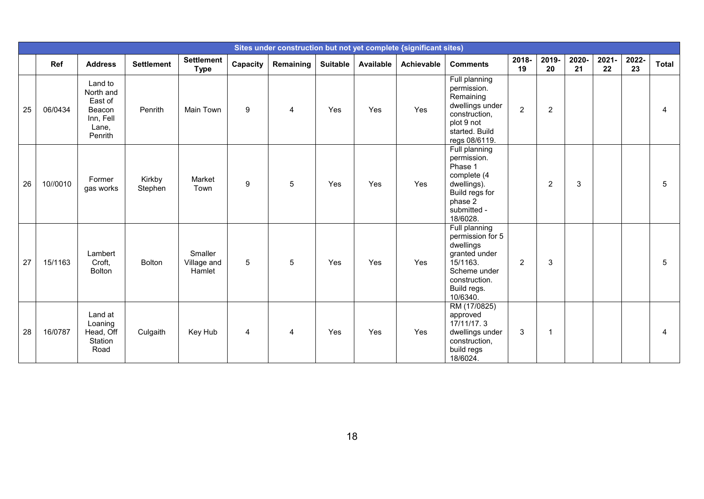|    |          |                                                                            |                   |                                  |          |           |                 |           | Sites under construction but not yet complete {significant sites) |                                                                                                                                         |                |                |             |                |             |              |
|----|----------|----------------------------------------------------------------------------|-------------------|----------------------------------|----------|-----------|-----------------|-----------|-------------------------------------------------------------------|-----------------------------------------------------------------------------------------------------------------------------------------|----------------|----------------|-------------|----------------|-------------|--------------|
|    | Ref      | <b>Address</b>                                                             | <b>Settlement</b> | <b>Settlement</b><br><b>Type</b> | Capacity | Remaining | <b>Suitable</b> | Available | Achievable                                                        | <b>Comments</b>                                                                                                                         | 2018-<br>19    | 2019-<br>20    | 2020-<br>21 | $2021 -$<br>22 | 2022-<br>23 | <b>Total</b> |
| 25 | 06/0434  | Land to<br>North and<br>East of<br>Beacon<br>Inn, Fell<br>Lane,<br>Penrith | Penrith           | <b>Main Town</b>                 | 9        | 4         | Yes             | Yes       | Yes                                                               | Full planning<br>permission.<br>Remaining<br>dwellings under<br>construction,<br>plot 9 not<br>started. Build<br>regs 08/6119.          | $\overline{2}$ | $\overline{c}$ |             |                |             | 4            |
| 26 | 10//0010 | Former<br>gas works                                                        | Kirkby<br>Stephen | Market<br>Town                   | 9        | 5         | Yes             | Yes       | Yes                                                               | Full planning<br>permission.<br>Phase 1<br>complete (4<br>dwellings).<br>Build regs for<br>phase 2<br>submitted -<br>18/6028.           |                | $\overline{c}$ | 3           |                |             | 5            |
| 27 | 15/1163  | Lambert<br>Croft,<br>Bolton                                                | <b>Bolton</b>     | Smaller<br>Village and<br>Hamlet | 5        | 5         | Yes             | Yes       | Yes                                                               | Full planning<br>permission for 5<br>dwellings<br>granted under<br>15/1163.<br>Scheme under<br>construction.<br>Build regs.<br>10/6340. | $\overline{2}$ | 3              |             |                |             | 5            |
| 28 | 16/0787  | Land at<br>Loaning<br>Head, Off<br>Station<br>Road                         | Culgaith          | Key Hub                          | 4        | 4         | Yes             | Yes       | Yes                                                               | RM (17/0825)<br>approved<br>17/11/17.3<br>dwellings under<br>construction,<br>build regs<br>18/6024.                                    | 3              | 1              |             |                |             | 4            |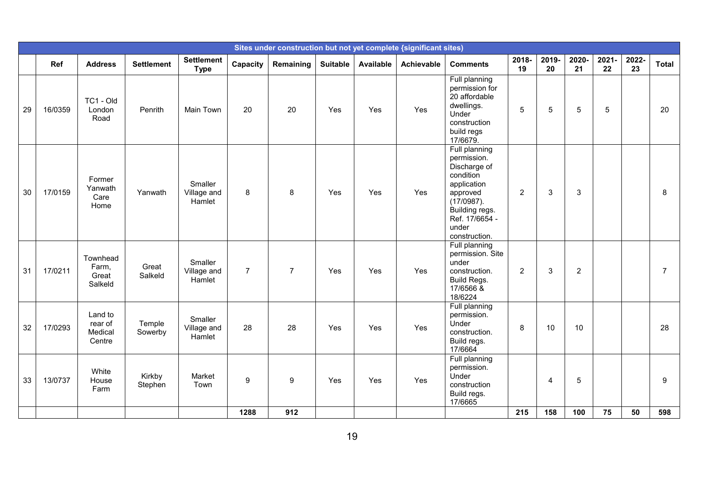|    |         |                                         |                   |                                  |                |                |                 |           | Sites under construction but not yet complete (significant sites) |                                                                                                                                                                  |                |             |                |             |             |                |
|----|---------|-----------------------------------------|-------------------|----------------------------------|----------------|----------------|-----------------|-----------|-------------------------------------------------------------------|------------------------------------------------------------------------------------------------------------------------------------------------------------------|----------------|-------------|----------------|-------------|-------------|----------------|
|    | Ref     | <b>Address</b>                          | <b>Settlement</b> | <b>Settlement</b><br><b>Type</b> | Capacity       | Remaining      | <b>Suitable</b> | Available | Achievable                                                        | <b>Comments</b>                                                                                                                                                  | 2018-<br>19    | 2019-<br>20 | 2020-<br>21    | 2021-<br>22 | 2022-<br>23 | <b>Total</b>   |
| 29 | 16/0359 | TC1 - Old<br>London<br>Road             | Penrith           | <b>Main Town</b>                 | 20             | 20             | Yes             | Yes       | Yes                                                               | Full planning<br>permission for<br>20 affordable<br>dwellings.<br>Under<br>construction<br>build regs<br>17/6679.                                                | 5              | 5           | 5              | 5           |             | 20             |
| 30 | 17/0159 | Former<br>Yanwath<br>Care<br>Home       | Yanwath           | Smaller<br>Village and<br>Hamlet | 8              | 8              | Yes             | Yes       | Yes                                                               | Full planning<br>permission.<br>Discharge of<br>condition<br>application<br>approved<br>(17/0987).<br>Building regs.<br>Ref. 17/6654 -<br>under<br>construction. | 2              | 3           | 3              |             |             | 8              |
| 31 | 17/0211 | Townhead<br>Farm,<br>Great<br>Salkeld   | Great<br>Salkeld  | Smaller<br>Village and<br>Hamlet | $\overline{7}$ | $\overline{7}$ | Yes             | Yes       | Yes                                                               | Full planning<br>permission. Site<br>under<br>construction.<br>Build Regs.<br>17/6566 &<br>18/6224                                                               | $\overline{2}$ | 3           | $\overline{2}$ |             |             | $\overline{7}$ |
| 32 | 17/0293 | Land to<br>rear of<br>Medical<br>Centre | Temple<br>Sowerby | Smaller<br>Village and<br>Hamlet | 28             | 28             | Yes             | Yes       | Yes                                                               | Full planning<br>permission.<br>Under<br>construction.<br>Build regs.<br>17/6664                                                                                 | 8              | 10          | 10             |             |             | 28             |
| 33 | 13/0737 | White<br>House<br>Farm                  | Kirkby<br>Stephen | Market<br>Town                   | 9              | 9              | Yes             | Yes       | Yes                                                               | Full planning<br>permission.<br>Under<br>construction<br>Build regs.<br>17/6665                                                                                  |                | 4           | 5              |             |             | 9              |
|    |         |                                         |                   |                                  | 1288           | 912            |                 |           |                                                                   |                                                                                                                                                                  | 215            | 158         | 100            | 75          | 50          | 598            |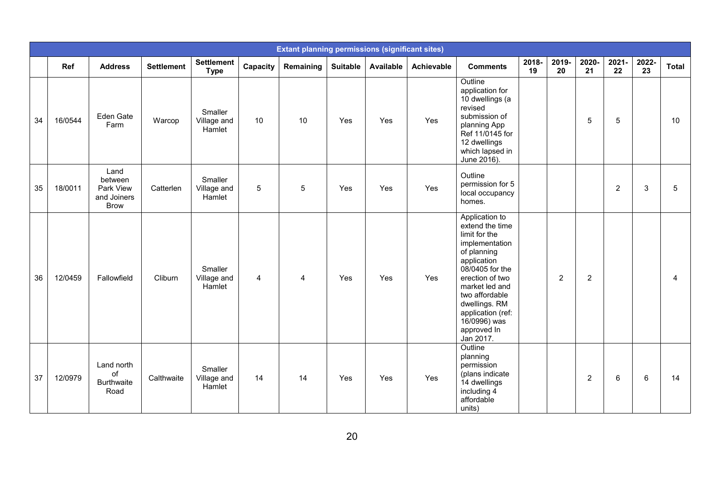|    |         |                                                            |                   |                                  |                | <b>Extant planning permissions (significant sites)</b> |                 |           |                   |                                                                                                                                                                                                                                                                |             |                |                |                |             |              |
|----|---------|------------------------------------------------------------|-------------------|----------------------------------|----------------|--------------------------------------------------------|-----------------|-----------|-------------------|----------------------------------------------------------------------------------------------------------------------------------------------------------------------------------------------------------------------------------------------------------------|-------------|----------------|----------------|----------------|-------------|--------------|
|    | Ref     | <b>Address</b>                                             | <b>Settlement</b> | <b>Settlement</b><br><b>Type</b> | Capacity       | Remaining                                              | <b>Suitable</b> | Available | <b>Achievable</b> | <b>Comments</b>                                                                                                                                                                                                                                                | 2018-<br>19 | 2019-<br>20    | 2020-<br>21    | 2021-<br>22    | 2022-<br>23 | <b>Total</b> |
| 34 | 16/0544 | Eden Gate<br>Farm                                          | Warcop            | Smaller<br>Village and<br>Hamlet | 10             | 10                                                     | Yes             | Yes       | Yes               | Outline<br>application for<br>10 dwellings (a<br>revised<br>submission of<br>planning App<br>Ref 11/0145 for<br>12 dwellings<br>which lapsed in<br>June 2016).                                                                                                 |             |                | 5              | 5              |             | 10           |
| 35 | 18/0011 | Land<br>between<br>Park View<br>and Joiners<br><b>Brow</b> | Catterlen         | Smaller<br>Village and<br>Hamlet | 5              | 5                                                      | Yes             | Yes       | Yes               | Outline<br>permission for 5<br>local occupancy<br>homes.                                                                                                                                                                                                       |             |                |                | $\overline{c}$ | 3           | 5            |
| 36 | 12/0459 | Fallowfield                                                | Cliburn           | Smaller<br>Village and<br>Hamlet | $\overline{4}$ | 4                                                      | Yes             | Yes       | Yes               | Application to<br>extend the time<br>limit for the<br>implementation<br>of planning<br>application<br>08/0405 for the<br>erection of two<br>market led and<br>two affordable<br>dwellings. RM<br>application (ref:<br>16/0996) was<br>approved In<br>Jan 2017. |             | $\overline{2}$ | $\overline{2}$ |                |             | 4            |
| 37 | 12/0979 | Land north<br>of<br><b>Burthwaite</b><br>Road              | Calthwaite        | Smaller<br>Village and<br>Hamlet | 14             | 14                                                     | Yes             | Yes       | Yes               | Outline<br>planning<br>permission<br>(plans indicate<br>14 dwellings<br>including 4<br>affordable<br>units)                                                                                                                                                    |             |                | 2              | 6              | 6           | 14           |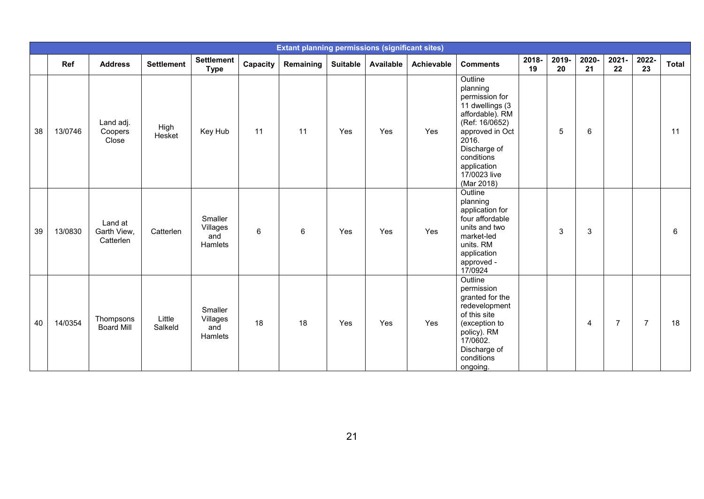|    |         |                                     |                   |                                       |          | <b>Extant planning permissions (significant sites)</b> |                 |           |            |                                                                                                                                                                                                      |             |                |                |                |                |              |
|----|---------|-------------------------------------|-------------------|---------------------------------------|----------|--------------------------------------------------------|-----------------|-----------|------------|------------------------------------------------------------------------------------------------------------------------------------------------------------------------------------------------------|-------------|----------------|----------------|----------------|----------------|--------------|
|    | Ref     | <b>Address</b>                      | <b>Settlement</b> | <b>Settlement</b><br><b>Type</b>      | Capacity | Remaining                                              | <b>Suitable</b> | Available | Achievable | <b>Comments</b>                                                                                                                                                                                      | 2018-<br>19 | 2019-<br>20    | 2020-<br>21    | 2021-<br>22    | 2022-<br>23    | <b>Total</b> |
| 38 | 13/0746 | Land adj.<br>Coopers<br>Close       | High<br>Hesket    | Key Hub                               | 11       | 11                                                     | Yes             | Yes       | Yes        | Outline<br>planning<br>permission for<br>11 dwellings (3<br>affordable). RM<br>(Ref: 16/0652)<br>approved in Oct<br>2016.<br>Discharge of<br>conditions<br>application<br>17/0023 live<br>(Mar 2018) |             | 5              | 6              |                |                | 11           |
| 39 | 13/0830 | Land at<br>Garth View,<br>Catterlen | Catterlen         | Smaller<br>Villages<br>and<br>Hamlets | $\,6\,$  | 6                                                      | Yes             | Yes       | Yes        | Outline<br>planning<br>application for<br>four affordable<br>units and two<br>market-led<br>units. RM<br>application<br>approved -<br>17/0924                                                        |             | $\mathfrak{3}$ | 3              |                |                | 6            |
| 40 | 14/0354 | Thompsons<br><b>Board Mill</b>      | Little<br>Salkeld | Smaller<br>Villages<br>and<br>Hamlets | 18       | 18                                                     | Yes             | Yes       | Yes        | Outline<br>permission<br>granted for the<br>redevelopment<br>of this site<br>(exception to<br>policy). RM<br>17/0602.<br>Discharge of<br>conditions<br>ongoing.                                      |             |                | $\overline{4}$ | $\overline{7}$ | $\overline{7}$ | 18           |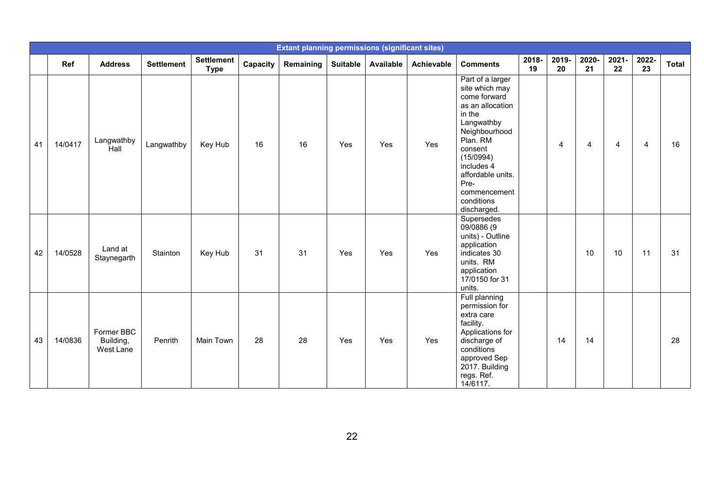|    |         |                                      |                   |                                  |          | <b>Extant planning permissions (significant sites)</b> |                 |                  |            |                                                                                                                                                                                                                                             |             |                |                |                |                |              |
|----|---------|--------------------------------------|-------------------|----------------------------------|----------|--------------------------------------------------------|-----------------|------------------|------------|---------------------------------------------------------------------------------------------------------------------------------------------------------------------------------------------------------------------------------------------|-------------|----------------|----------------|----------------|----------------|--------------|
|    | Ref     | <b>Address</b>                       | <b>Settlement</b> | <b>Settlement</b><br><b>Type</b> | Capacity | Remaining                                              | <b>Suitable</b> | <b>Available</b> | Achievable | <b>Comments</b>                                                                                                                                                                                                                             | 2018-<br>19 | 2019-<br>20    | 2020-<br>21    | 2021-<br>22    | 2022-<br>23    | <b>Total</b> |
| 41 | 14/0417 | Langwathby<br>Hall                   | Langwathby        | Key Hub                          | 16       | 16                                                     | Yes             | Yes              | Yes        | Part of a larger<br>site which may<br>come forward<br>as an allocation<br>in the<br>Langwathby<br>Neighbourhood<br>Plan. RM<br>consent<br>(15/0994)<br>includes 4<br>affordable units.<br>Pre-<br>commencement<br>conditions<br>discharged. |             | $\overline{4}$ | $\overline{4}$ | $\overline{4}$ | $\overline{4}$ | 16           |
| 42 | 14/0528 | Land at<br>Staynegarth               | Stainton          | Key Hub                          | 31       | 31                                                     | Yes             | Yes              | Yes        | Supersedes<br>09/0886 (9<br>units) - Outline<br>application<br>indicates 30<br>units. RM<br>application<br>17/0150 for 31<br>units.                                                                                                         |             |                | 10             | 10             | 11             | 31           |
| 43 | 14/0836 | Former BBC<br>Building,<br>West Lane | Penrith           | Main Town                        | 28       | 28                                                     | Yes             | Yes              | Yes        | Full planning<br>permission for<br>extra care<br>facility.<br>Applications for<br>discharge of<br>conditions<br>approved Sep<br>2017. Building<br>regs. Ref.<br>14/6117.                                                                    |             | 14             | 14             |                |                | 28           |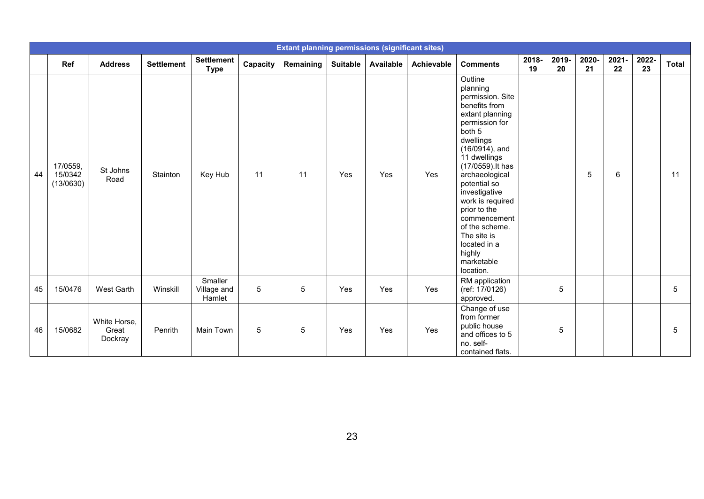|    |                                  |                                  |                   |                                  |          | <b>Extant planning permissions (significant sites)</b> |                 |                  |            |                                                                                                                                                                                                                                                                                                                                                                             |             |             |             |             |             |              |
|----|----------------------------------|----------------------------------|-------------------|----------------------------------|----------|--------------------------------------------------------|-----------------|------------------|------------|-----------------------------------------------------------------------------------------------------------------------------------------------------------------------------------------------------------------------------------------------------------------------------------------------------------------------------------------------------------------------------|-------------|-------------|-------------|-------------|-------------|--------------|
|    | <b>Ref</b>                       | <b>Address</b>                   | <b>Settlement</b> | <b>Settlement</b><br><b>Type</b> | Capacity | Remaining                                              | <b>Suitable</b> | <b>Available</b> | Achievable | <b>Comments</b>                                                                                                                                                                                                                                                                                                                                                             | 2018-<br>19 | 2019-<br>20 | 2020-<br>21 | 2021-<br>22 | 2022-<br>23 | <b>Total</b> |
| 44 | 17/0559,<br>15/0342<br>(13/0630) | St Johns<br>Road                 | Stainton          | Key Hub                          | 11       | 11                                                     | Yes             | Yes              | Yes        | Outline<br>planning<br>permission. Site<br>benefits from<br>extant planning<br>permission for<br>both 5<br>dwellings<br>$(16/0914)$ , and<br>11 dwellings<br>(17/0559). It has<br>archaeological<br>potential so<br>investigative<br>work is required<br>prior to the<br>commencement<br>of the scheme.<br>The site is<br>located in a<br>highly<br>marketable<br>location. |             |             | 5           | 6           |             | 11           |
| 45 | 15/0476                          | West Garth                       | Winskill          | Smaller<br>Village and<br>Hamlet | 5        | 5                                                      | Yes             | Yes              | Yes        | RM application<br>(ref: 17/0126)<br>approved.                                                                                                                                                                                                                                                                                                                               |             | 5           |             |             |             | $\sqrt{5}$   |
| 46 | 15/0682                          | White Horse,<br>Great<br>Dockray | Penrith           | Main Town                        | 5        | 5                                                      | Yes             | Yes              | Yes        | Change of use<br>from former<br>public house<br>and offices to 5<br>no. self-<br>contained flats.                                                                                                                                                                                                                                                                           |             | 5           |             |             |             | $\sqrt{5}$   |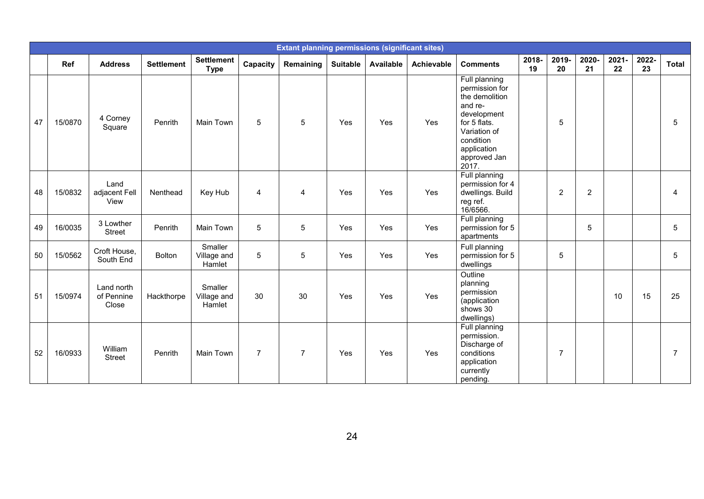|    |         |                                   |                   |                                  |                | <b>Extant planning permissions (significant sites)</b> |                 |           |                   |                                                                                                                                                                  |             |                |                |             |             |                |
|----|---------|-----------------------------------|-------------------|----------------------------------|----------------|--------------------------------------------------------|-----------------|-----------|-------------------|------------------------------------------------------------------------------------------------------------------------------------------------------------------|-------------|----------------|----------------|-------------|-------------|----------------|
|    | Ref     | <b>Address</b>                    | <b>Settlement</b> | <b>Settlement</b><br><b>Type</b> | Capacity       | Remaining                                              | <b>Suitable</b> | Available | <b>Achievable</b> | <b>Comments</b>                                                                                                                                                  | 2018-<br>19 | 2019-<br>20    | 2020-<br>21    | 2021-<br>22 | 2022-<br>23 | <b>Total</b>   |
| 47 | 15/0870 | 4 Corney<br>Square                | Penrith           | Main Town                        | 5              | 5                                                      | Yes             | Yes       | Yes               | Full planning<br>permission for<br>the demolition<br>and re-<br>development<br>for 5 flats.<br>Variation of<br>condition<br>application<br>approved Jan<br>2017. |             | $\sqrt{5}$     |                |             |             | 5              |
| 48 | 15/0832 | Land<br>adjacent Fell<br>View     | Nenthead          | Key Hub                          | $\overline{4}$ | $\overline{4}$                                         | Yes             | Yes       | Yes               | Full planning<br>permission for 4<br>dwellings. Build<br>reg ref.<br>16/6566.                                                                                    |             | $\overline{2}$ | $\overline{2}$ |             |             | 4              |
| 49 | 16/0035 | 3 Lowther<br>Street               | Penrith           | Main Town                        | 5              | 5                                                      | Yes             | Yes       | Yes               | Full planning<br>permission for 5<br>apartments                                                                                                                  |             |                | 5              |             |             | 5              |
| 50 | 15/0562 | Croft House,<br>South End         | Bolton            | Smaller<br>Village and<br>Hamlet | 5              | 5                                                      | Yes             | Yes       | Yes               | Full planning<br>permission for 5<br>dwellings                                                                                                                   |             | $\sqrt{5}$     |                |             |             | 5              |
| 51 | 15/0974 | Land north<br>of Pennine<br>Close | Hackthorpe        | Smaller<br>Village and<br>Hamlet | 30             | 30                                                     | Yes             | Yes       | Yes               | Outline<br>planning<br>permission<br>(application<br>shows 30<br>dwellings)                                                                                      |             |                |                | 10          | 15          | 25             |
| 52 | 16/0933 | William<br><b>Street</b>          | Penrith           | Main Town                        | $\overline{7}$ | $\overline{7}$                                         | Yes             | Yes       | Yes               | Full planning<br>permission.<br>Discharge of<br>conditions<br>application<br>currently<br>pending.                                                               |             | $\overline{7}$ |                |             |             | $\overline{7}$ |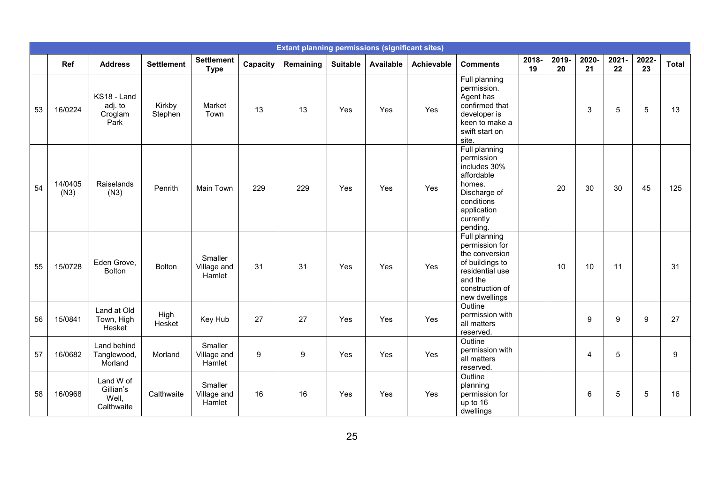|    |                 |                                               |                   |                                  |          | <b>Extant planning permissions (significant sites)</b> |                 |                  |                   |                                                                                                                                           |             |             |                  |             |             |       |
|----|-----------------|-----------------------------------------------|-------------------|----------------------------------|----------|--------------------------------------------------------|-----------------|------------------|-------------------|-------------------------------------------------------------------------------------------------------------------------------------------|-------------|-------------|------------------|-------------|-------------|-------|
|    | <b>Ref</b>      | <b>Address</b>                                | <b>Settlement</b> | <b>Settlement</b><br><b>Type</b> | Capacity | Remaining                                              | <b>Suitable</b> | <b>Available</b> | <b>Achievable</b> | <b>Comments</b>                                                                                                                           | 2018-<br>19 | 2019-<br>20 | 2020-<br>21      | 2021-<br>22 | 2022-<br>23 | Total |
| 53 | 16/0224         | KS18 - Land<br>adj. to<br>Croglam<br>Park     | Kirkby<br>Stephen | Market<br>Town                   | 13       | 13                                                     | Yes             | Yes              | Yes               | Full planning<br>permission.<br>Agent has<br>confirmed that<br>developer is<br>keen to make a<br>swift start on<br>site.                  |             |             | 3                | 5           | 5           | 13    |
| 54 | 14/0405<br>(N3) | Raiselands<br>(N3)                            | Penrith           | Main Town                        | 229      | 229                                                    | Yes             | Yes              | Yes               | Full planning<br>permission<br>includes 30%<br>affordable<br>homes.<br>Discharge of<br>conditions<br>application<br>currently<br>pending. |             | 20          | 30               | 30          | 45          | 125   |
| 55 | 15/0728         | Eden Grove,<br><b>Bolton</b>                  | <b>Bolton</b>     | Smaller<br>Village and<br>Hamlet | 31       | 31                                                     | Yes             | Yes              | Yes               | Full planning<br>permission for<br>the conversion<br>of buildings to<br>residential use<br>and the<br>construction of<br>new dwellings    |             | 10          | 10               | 11          |             | 31    |
| 56 | 15/0841         | Land at Old<br>Town, High<br>Hesket           | High<br>Hesket    | Key Hub                          | 27       | 27                                                     | Yes             | Yes              | Yes               | Outline<br>permission with<br>all matters<br>reserved.                                                                                    |             |             | $\boldsymbol{9}$ | 9           | 9           | 27    |
| 57 | 16/0682         | Land behind<br>Tanglewood,<br>Morland         | Morland           | Smaller<br>Village and<br>Hamlet | 9        | 9                                                      | Yes             | Yes              | Yes               | Outline<br>permission with<br>all matters<br>reserved.                                                                                    |             |             | $\overline{4}$   | 5           |             | 9     |
| 58 | 16/0968         | Land W of<br>Gillian's<br>Well,<br>Calthwaite | Calthwaite        | Smaller<br>Village and<br>Hamlet | 16       | 16                                                     | Yes             | Yes              | Yes               | Outline<br>planning<br>permission for<br>up to 16<br>dwellings                                                                            |             |             | $\,6$            | 5           | $\sqrt{5}$  | 16    |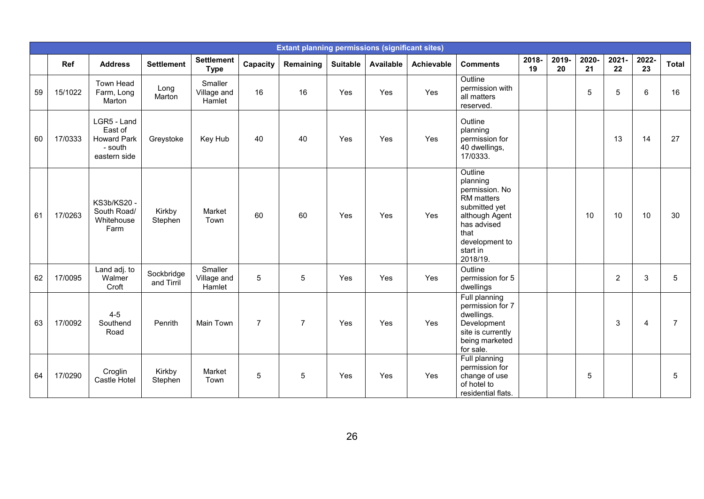|    |         |                                                                         |                          |                                  |                | <b>Extant planning permissions (significant sites)</b> |                 |           |            |                                                                                                                                                                |             |             |             |                |             |              |
|----|---------|-------------------------------------------------------------------------|--------------------------|----------------------------------|----------------|--------------------------------------------------------|-----------------|-----------|------------|----------------------------------------------------------------------------------------------------------------------------------------------------------------|-------------|-------------|-------------|----------------|-------------|--------------|
|    | Ref     | <b>Address</b>                                                          | <b>Settlement</b>        | <b>Settlement</b><br><b>Type</b> | Capacity       | Remaining                                              | <b>Suitable</b> | Available | Achievable | <b>Comments</b>                                                                                                                                                | 2018-<br>19 | 2019-<br>20 | 2020-<br>21 | 2021-<br>22    | 2022-<br>23 | <b>Total</b> |
| 59 | 15/1022 | Town Head<br>Farm, Long<br>Marton                                       | Long<br>Marton           | Smaller<br>Village and<br>Hamlet | 16             | 16                                                     | Yes             | Yes       | Yes        | Outline<br>permission with<br>all matters<br>reserved.                                                                                                         |             |             | 5           | 5              | 6           | 16           |
| 60 | 17/0333 | LGR5 - Land<br>East of<br><b>Howard Park</b><br>- south<br>eastern side | Greystoke                | Key Hub                          | 40             | 40                                                     | Yes             | Yes       | Yes        | Outline<br>planning<br>permission for<br>40 dwellings,<br>17/0333.                                                                                             |             |             |             | 13             | 14          | 27           |
| 61 | 17/0263 | KS3b/KS20 -<br>South Road/<br>Whitehouse<br>Farm                        | Kirkby<br>Stephen        | Market<br>Town                   | 60             | 60                                                     | Yes             | Yes       | Yes        | Outline<br>planning<br>permission. No<br><b>RM</b> matters<br>submitted yet<br>although Agent<br>has advised<br>that<br>development to<br>start in<br>2018/19. |             |             | 10          | 10             | 10          | 30           |
| 62 | 17/0095 | Land adj. to<br>Walmer<br>Croft                                         | Sockbridge<br>and Tirril | Smaller<br>Village and<br>Hamlet | 5              | 5                                                      | Yes             | Yes       | Yes        | Outline<br>permission for 5<br>dwellings                                                                                                                       |             |             |             | $\overline{c}$ | 3           | 5            |
| 63 | 17/0092 | $4 - 5$<br>Southend<br>Road                                             | Penrith                  | Main Town                        | $\overline{7}$ | $\overline{7}$                                         | Yes             | Yes       | Yes        | Full planning<br>permission for 7<br>dwellings.<br>Development<br>site is currently<br>being marketed<br>for sale.                                             |             |             |             | 3              | 4           | 7            |
| 64 | 17/0290 | Croglin<br>Castle Hotel                                                 | Kirkby<br>Stephen        | Market<br>Town                   | 5              | 5                                                      | Yes             | Yes       | Yes        | Full planning<br>permission for<br>change of use<br>of hotel to<br>residential flats.                                                                          |             |             | 5           |                |             | 5            |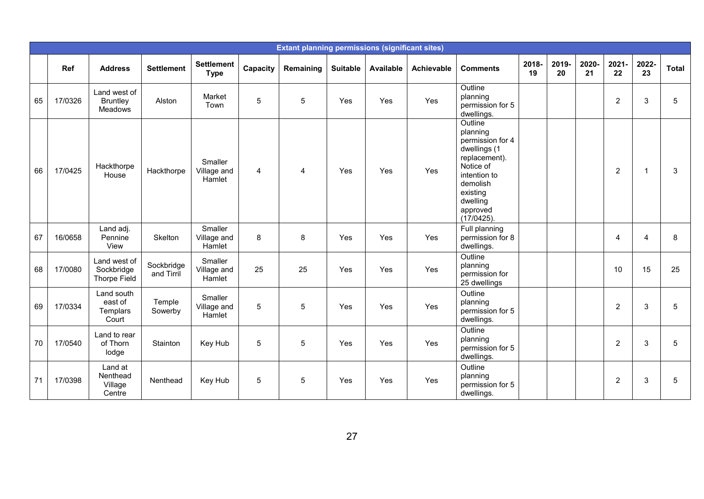|    |         |                                            |                          |                                  |          | <b>Extant planning permissions (significant sites)</b> |                 |           |            |                                                                                                                                                                     |             |             |             |                |                |              |
|----|---------|--------------------------------------------|--------------------------|----------------------------------|----------|--------------------------------------------------------|-----------------|-----------|------------|---------------------------------------------------------------------------------------------------------------------------------------------------------------------|-------------|-------------|-------------|----------------|----------------|--------------|
|    | Ref     | <b>Address</b>                             | <b>Settlement</b>        | <b>Settlement</b><br><b>Type</b> | Capacity | Remaining                                              | <b>Suitable</b> | Available | Achievable | <b>Comments</b>                                                                                                                                                     | 2018-<br>19 | 2019-<br>20 | 2020-<br>21 | 2021-<br>22    | 2022-<br>23    | <b>Total</b> |
| 65 | 17/0326 | Land west of<br><b>Bruntley</b><br>Meadows | Alston                   | Market<br>Town                   | 5        | 5                                                      | Yes             | Yes       | Yes        | Outline<br>planning<br>permission for 5<br>dwellings.                                                                                                               |             |             |             | $\overline{2}$ | 3              | 5            |
| 66 | 17/0425 | Hackthorpe<br>House                        | Hackthorpe               | Smaller<br>Village and<br>Hamlet | 4        | $\overline{4}$                                         | Yes             | Yes       | Yes        | Outline<br>planning<br>permission for 4<br>dwellings (1<br>replacement).<br>Notice of<br>intention to<br>demolish<br>existing<br>dwelling<br>approved<br>(17/0425). |             |             |             | $\overline{2}$ | $\overline{1}$ | 3            |
| 67 | 16/0658 | Land adj.<br>Pennine<br>View               | Skelton                  | Smaller<br>Village and<br>Hamlet | 8        | 8                                                      | Yes             | Yes       | Yes        | Full planning<br>permission for 8<br>dwellings.                                                                                                                     |             |             |             | $\overline{4}$ | 4              | 8            |
| 68 | 17/0080 | Land west of<br>Sockbridge<br>Thorpe Field | Sockbridge<br>and Tirril | Smaller<br>Village and<br>Hamlet | 25       | 25                                                     | Yes             | Yes       | Yes        | Outline<br>planning<br>permission for<br>25 dwellings                                                                                                               |             |             |             | 10             | 15             | 25           |
| 69 | 17/0334 | Land south<br>east of<br>Templars<br>Court | Temple<br>Sowerby        | Smaller<br>Village and<br>Hamlet | 5        | 5                                                      | Yes             | Yes       | Yes        | Outline<br>planning<br>permission for 5<br>dwellings.                                                                                                               |             |             |             | $\overline{2}$ | 3              | 5            |
| 70 | 17/0540 | Land to rear<br>of Thorn<br>lodge          | Stainton                 | Key Hub                          | 5        | 5                                                      | Yes             | Yes       | Yes        | Outline<br>planning<br>permission for 5<br>dwellings.                                                                                                               |             |             |             | $\overline{2}$ | 3              | 5            |
| 71 | 17/0398 | Land at<br>Nenthead<br>Village<br>Centre   | Nenthead                 | Key Hub                          | 5        | 5                                                      | Yes             | Yes       | Yes        | Outline<br>planning<br>permission for 5<br>dwellings.                                                                                                               |             |             |             | $\overline{2}$ | 3              | 5            |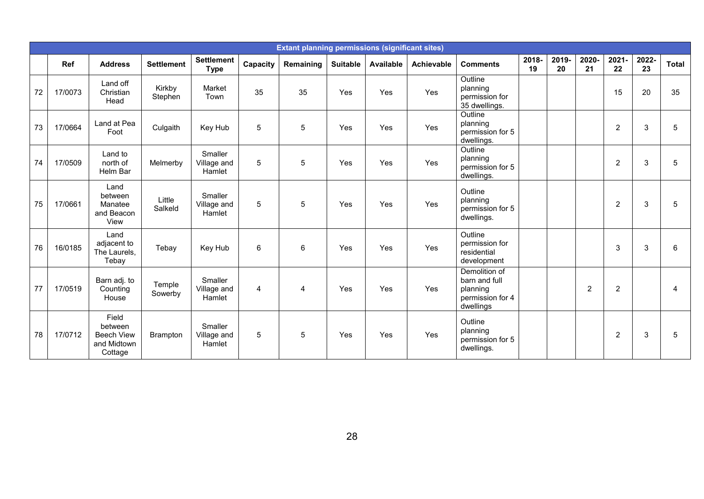|    |         |                                                                 |                   |                                  |          | <b>Extant planning permissions (significant sites)</b> |                 |           |            |                                                                             |             |             |                |                |             |              |
|----|---------|-----------------------------------------------------------------|-------------------|----------------------------------|----------|--------------------------------------------------------|-----------------|-----------|------------|-----------------------------------------------------------------------------|-------------|-------------|----------------|----------------|-------------|--------------|
|    | Ref     | <b>Address</b>                                                  | <b>Settlement</b> | <b>Settlement</b><br><b>Type</b> | Capacity | Remaining                                              | <b>Suitable</b> | Available | Achievable | <b>Comments</b>                                                             | 2018-<br>19 | 2019-<br>20 | 2020-<br>21    | $2021 -$<br>22 | 2022-<br>23 | <b>Total</b> |
| 72 | 17/0073 | Land off<br>Christian<br>Head                                   | Kirkby<br>Stephen | Market<br>Town                   | 35       | 35                                                     | Yes             | Yes       | Yes        | Outline<br>planning<br>permission for<br>35 dwellings.                      |             |             |                | 15             | 20          | 35           |
| 73 | 17/0664 | Land at Pea<br>Foot                                             | Culgaith          | Key Hub                          | 5        | 5                                                      | Yes             | Yes       | Yes        | Outline<br>planning<br>permission for 5<br>dwellings.                       |             |             |                | $\overline{2}$ | 3           | 5            |
| 74 | 17/0509 | Land to<br>north of<br>Helm Bar                                 | Melmerby          | Smaller<br>Village and<br>Hamlet | 5        | 5                                                      | Yes             | Yes       | Yes        | Outline<br>planning<br>permission for 5<br>dwellings.                       |             |             |                | $\overline{2}$ | 3           | 5            |
| 75 | 17/0661 | Land<br>between<br>Manatee<br>and Beacon<br>View                | Little<br>Salkeld | Smaller<br>Village and<br>Hamlet | 5        | 5                                                      | Yes             | Yes       | Yes        | Outline<br>planning<br>permission for 5<br>dwellings.                       |             |             |                | $\overline{2}$ | 3           | 5            |
| 76 | 16/0185 | Land<br>adjacent to<br>The Laurels,<br>Tebay                    | Tebay             | Key Hub                          | 6        | 6                                                      | Yes             | Yes       | Yes        | Outline<br>permission for<br>residential<br>development                     |             |             |                | 3              | 3           | 6            |
| 77 | 17/0519 | Barn adj. to<br>Counting<br>House                               | Temple<br>Sowerby | Smaller<br>Village and<br>Hamlet | 4        | $\overline{4}$                                         | Yes             | Yes       | Yes        | Demolition of<br>barn and full<br>planning<br>permission for 4<br>dwellings |             |             | $\overline{2}$ | $\overline{2}$ |             | 4            |
| 78 | 17/0712 | Field<br>between<br><b>Beech View</b><br>and Midtown<br>Cottage | <b>Brampton</b>   | Smaller<br>Village and<br>Hamlet | 5        | 5                                                      | Yes             | Yes       | Yes        | Outline<br>planning<br>permission for 5<br>dwellings.                       |             |             |                | $\overline{c}$ | 3           | 5            |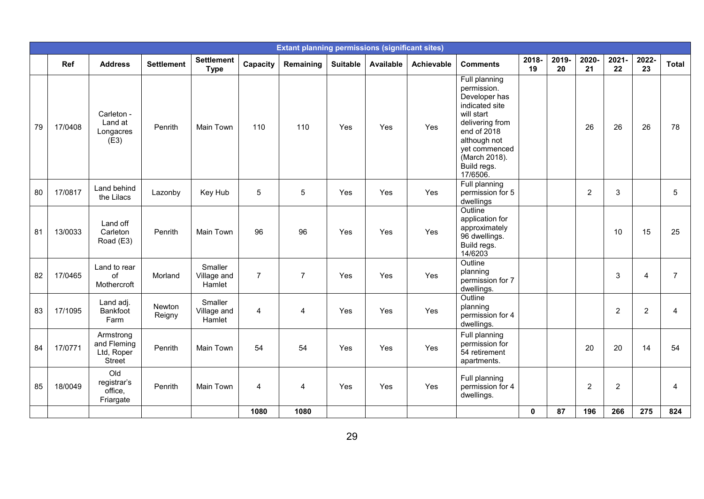|    |         |                                                         |                   |                                  |                | <b>Extant planning permissions (significant sites)</b> |                 |           |            |                                                                                                                                                                                              |              |             |                |                |                |                |
|----|---------|---------------------------------------------------------|-------------------|----------------------------------|----------------|--------------------------------------------------------|-----------------|-----------|------------|----------------------------------------------------------------------------------------------------------------------------------------------------------------------------------------------|--------------|-------------|----------------|----------------|----------------|----------------|
|    | Ref     | <b>Address</b>                                          | <b>Settlement</b> | <b>Settlement</b><br><b>Type</b> | Capacity       | Remaining                                              | <b>Suitable</b> | Available | Achievable | <b>Comments</b>                                                                                                                                                                              | 2018-<br>19  | 2019-<br>20 | 2020-<br>21    | 2021-<br>22    | 2022-<br>23    | <b>Total</b>   |
| 79 | 17/0408 | Carleton -<br>Land at<br>Longacres<br>(E3)              | Penrith           | Main Town                        | 110            | 110                                                    | Yes             | Yes       | Yes        | Full planning<br>permission.<br>Developer has<br>indicated site<br>will start<br>delivering from<br>end of 2018<br>although not<br>yet commenced<br>(March 2018).<br>Build regs.<br>17/6506. |              |             | 26             | 26             | 26             | 78             |
| 80 | 17/0817 | Land behind<br>the Lilacs                               | Lazonby           | Key Hub                          | 5              | 5                                                      | Yes             | Yes       | Yes        | Full planning<br>permission for 5<br>dwellings                                                                                                                                               |              |             | $\overline{2}$ | 3              |                | 5              |
| 81 | 13/0033 | Land off<br>Carleton<br>Road (E3)                       | Penrith           | Main Town                        | 96             | 96                                                     | Yes             | Yes       | Yes        | Outline<br>application for<br>approximately<br>96 dwellings.<br>Build regs.<br>14/6203                                                                                                       |              |             |                | 10             | 15             | 25             |
| 82 | 17/0465 | Land to rear<br>of<br>Mothercroft                       | Morland           | Smaller<br>Village and<br>Hamlet | $\overline{7}$ | $\overline{7}$                                         | Yes             | Yes       | Yes        | Outline<br>planning<br>permission for 7<br>dwellings.                                                                                                                                        |              |             |                | 3              | $\overline{4}$ | $\overline{7}$ |
| 83 | 17/1095 | Land adj.<br>Bankfoot<br>Farm                           | Newton<br>Reigny  | Smaller<br>Village and<br>Hamlet | 4              | 4                                                      | Yes             | Yes       | Yes        | Outline<br>planning<br>permission for 4<br>dwellings.                                                                                                                                        |              |             |                | $\overline{c}$ | $\overline{2}$ | 4              |
| 84 | 17/0771 | Armstrong<br>and Fleming<br>Ltd, Roper<br><b>Street</b> | Penrith           | Main Town                        | 54             | 54                                                     | Yes             | Yes       | Yes        | Full planning<br>permission for<br>54 retirement<br>apartments.                                                                                                                              |              |             | 20             | 20             | 14             | 54             |
| 85 | 18/0049 | Old<br>registrar's<br>office,<br>Friargate              | Penrith           | Main Town                        | 4              | 4                                                      | Yes             | Yes       | Yes        | Full planning<br>permission for 4<br>dwellings.                                                                                                                                              |              |             | $\overline{2}$ | $\overline{2}$ |                | $\overline{4}$ |
|    |         |                                                         |                   |                                  | 1080           | 1080                                                   |                 |           |            |                                                                                                                                                                                              | $\mathbf{0}$ | 87          | 196            | 266            | 275            | 824            |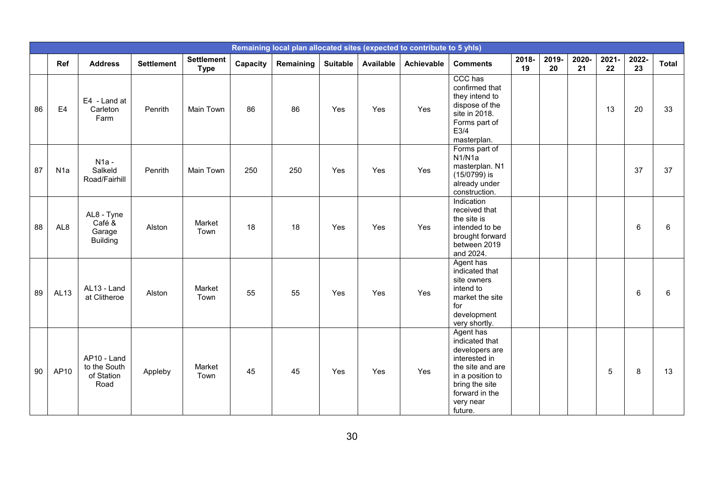|    |                  |                                                   |                   |                                  |          |           |                 |           | Remaining local plan allocated sites (expected to contribute to 5 yhls) |                                                                                                                                                                    |             |             |             |             |                |              |
|----|------------------|---------------------------------------------------|-------------------|----------------------------------|----------|-----------|-----------------|-----------|-------------------------------------------------------------------------|--------------------------------------------------------------------------------------------------------------------------------------------------------------------|-------------|-------------|-------------|-------------|----------------|--------------|
|    | Ref              | <b>Address</b>                                    | <b>Settlement</b> | <b>Settlement</b><br><b>Type</b> | Capacity | Remaining | <b>Suitable</b> | Available | <b>Achievable</b>                                                       | <b>Comments</b>                                                                                                                                                    | 2018-<br>19 | 2019-<br>20 | 2020-<br>21 | 2021-<br>22 | 2022-<br>23    | <b>Total</b> |
| 86 | E <sub>4</sub>   | E4 - Land at<br>Carleton<br>Farm                  | Penrith           | Main Town                        | 86       | 86        | Yes             | Yes       | Yes                                                                     | CCC has<br>confirmed that<br>they intend to<br>dispose of the<br>site in 2018.<br>Forms part of<br>E3/4<br>masterplan.                                             |             |             |             | 13          | 20             | 33           |
| 87 | N <sub>1</sub> a | $N1a -$<br>Salkeld<br>Road/Fairhill               | Penrith           | Main Town                        | 250      | 250       | Yes             | Yes       | Yes                                                                     | Forms part of<br>N <sub>1</sub> /N <sub>1</sub> a<br>masterplan. N1<br>$(15/0799)$ is<br>already under<br>construction.                                            |             |             |             |             | 37             | 37           |
| 88 | AL <sub>8</sub>  | AL8 - Tyne<br>Café &<br>Garage<br><b>Building</b> | Alston            | Market<br>Town                   | 18       | 18        | Yes             | Yes       | Yes                                                                     | Indication<br>received that<br>the site is<br>intended to be<br>brought forward<br>between 2019<br>and 2024.                                                       |             |             |             |             | 6              | 6            |
| 89 | AL <sub>13</sub> | AL13 - Land<br>at Clitheroe                       | Alston            | Market<br>Town                   | 55       | 55        | Yes             | Yes       | Yes                                                                     | Agent has<br>indicated that<br>site owners<br>intend to<br>market the site<br>for<br>development<br>very shortly.                                                  |             |             |             |             | $6\phantom{1}$ | 6            |
| 90 | AP10             | AP10 - Land<br>to the South<br>of Station<br>Road | Appleby           | Market<br>Town                   | 45       | 45        | Yes             | Yes       | Yes                                                                     | Agent has<br>indicated that<br>developers are<br>interested in<br>the site and are<br>in a position to<br>bring the site<br>forward in the<br>very near<br>future. |             |             |             | 5           | 8              | 13           |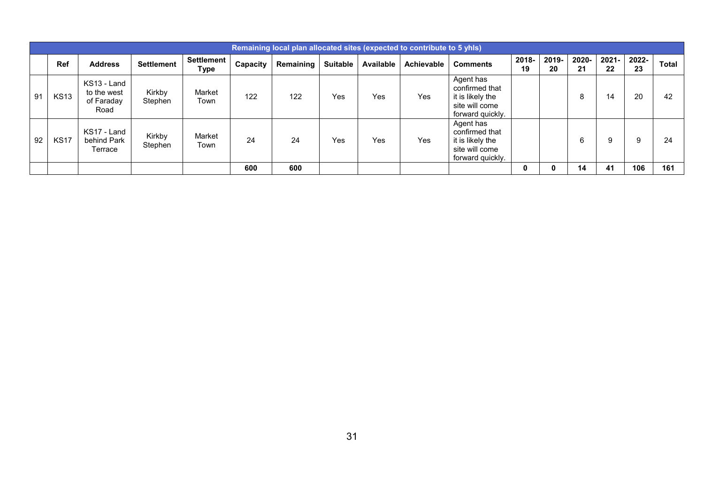|    | Remaining local plan allocated sites (expected to contribute to 5 yhls) |                                                  |                   |                           |          |           |          |           |            |                                                                                       |             |             |             |             |             |              |
|----|-------------------------------------------------------------------------|--------------------------------------------------|-------------------|---------------------------|----------|-----------|----------|-----------|------------|---------------------------------------------------------------------------------------|-------------|-------------|-------------|-------------|-------------|--------------|
|    | Ref                                                                     | <b>Address</b>                                   | <b>Settlement</b> | <b>Settlement</b><br>Type | Capacity | Remaining | Suitable | Available | Achievable | <b>Comments</b>                                                                       | 2018-<br>19 | 2019-<br>20 | 2020-<br>21 | 2021-<br>22 | 2022-<br>23 | <b>Total</b> |
| 91 | <b>KS13</b>                                                             | KS13 - Land<br>to the west<br>of Faraday<br>Road | Kirkby<br>Stephen | Market<br>Town            | 122      | 122       | Yes      | Yes       | Yes        | Agent has<br>confirmed that<br>it is likely the<br>site will come<br>forward quickly. |             |             | ົ           | 14          | 20          | 42           |
| 92 | <b>KS17</b>                                                             | KS17 - Land<br>behind Park<br>Terrace            | Kirkby<br>Stephen | Market<br>Town            | 24       | 24        | Yes      | Yes       | Yes        | Agent has<br>confirmed that<br>it is likely the<br>site will come<br>forward quickly. |             |             | 6           | 9           | 9           | 24           |
|    |                                                                         |                                                  |                   |                           | 600      | 600       |          |           |            |                                                                                       | 0           |             | 14          | 41          | 106         | 161          |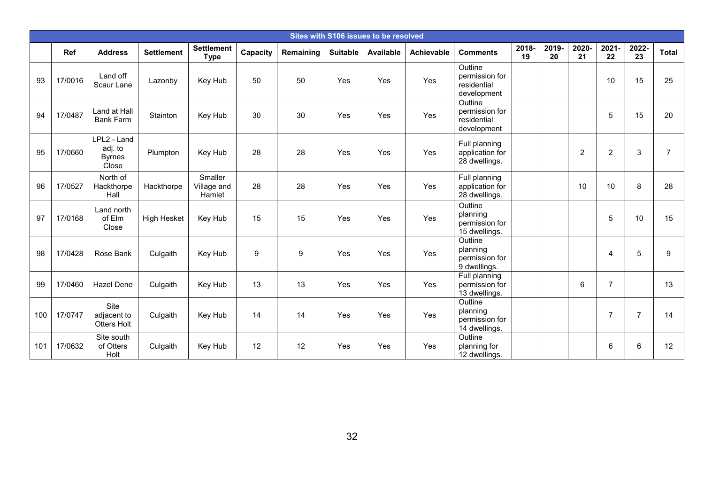|     | Sites with S106 issues to be resolved |                                                  |                    |                                  |          |           |                 |                  |                   |                                                         |             |            |                |                |                |                |
|-----|---------------------------------------|--------------------------------------------------|--------------------|----------------------------------|----------|-----------|-----------------|------------------|-------------------|---------------------------------------------------------|-------------|------------|----------------|----------------|----------------|----------------|
|     | Ref                                   | <b>Address</b>                                   | <b>Settlement</b>  | <b>Settlement</b><br><b>Type</b> | Capacity | Remaining | <b>Suitable</b> | <b>Available</b> | <b>Achievable</b> | <b>Comments</b>                                         | 2018-<br>19 | 2019<br>20 | 2020-<br>21    | $2021 -$<br>22 | 2022-<br>23    | <b>Total</b>   |
| 93  | 17/0016                               | Land off<br>Scaur Lane                           | Lazonby            | Key Hub                          | 50       | 50        | Yes             | Yes              | Yes               | Outline<br>permission for<br>residential<br>development |             |            |                | 10             | 15             | 25             |
| 94  | 17/0487                               | Land at Hall<br><b>Bank Farm</b>                 | Stainton           | Key Hub                          | 30       | 30        | Yes             | Yes              | Yes               | Outline<br>permission for<br>residential<br>development |             |            |                | 5              | 15             | 20             |
| 95  | 17/0660                               | LPL2 - Land<br>adj. to<br><b>Byrnes</b><br>Close | Plumpton           | Key Hub                          | 28       | 28        | Yes             | Yes              | Yes               | Full planning<br>application for<br>28 dwellings.       |             |            | $\overline{2}$ | $\overline{c}$ | 3              | $\overline{7}$ |
| 96  | 17/0527                               | North of<br>Hackthorpe<br>Hall                   | Hackthorpe         | Smaller<br>Village and<br>Hamlet | 28       | 28        | Yes             | Yes              | Yes               | Full planning<br>application for<br>28 dwellings.       |             |            | 10             | 10             | 8              | 28             |
| 97  | 17/0168                               | Land north<br>of Elm<br>Close                    | <b>High Hesket</b> | Key Hub                          | 15       | 15        | Yes             | Yes              | Yes               | Outline<br>planning<br>permission for<br>15 dwellings.  |             |            |                | 5              | 10             | 15             |
| 98  | 17/0428                               | Rose Bank                                        | Culgaith           | Key Hub                          | 9        | 9         | Yes             | Yes              | Yes               | Outline<br>planning<br>permission for<br>9 dwellings.   |             |            |                | 4              | 5              | 9              |
| 99  | 17/0460                               | <b>Hazel Dene</b>                                | Culgaith           | Key Hub                          | 13       | 13        | Yes             | Yes              | Yes               | Full planning<br>permission for<br>13 dwellings.        |             |            | 6              | $\overline{7}$ |                | 13             |
| 100 | 17/0747                               | Site<br>adjacent to<br>Otters Holt               | Culgaith           | Key Hub                          | 14       | 14        | Yes             | Yes              | Yes               | Outline<br>planning<br>permission for<br>14 dwellings.  |             |            |                | $\overline{7}$ | $\overline{7}$ | 14             |
| 101 | 17/0632                               | Site south<br>of Otters<br>Holt                  | Culgaith           | Key Hub                          | 12       | 12        | Yes             | Yes              | Yes               | Outline<br>planning for<br>12 dwellings.                |             |            |                | 6              | 6              | 12             |